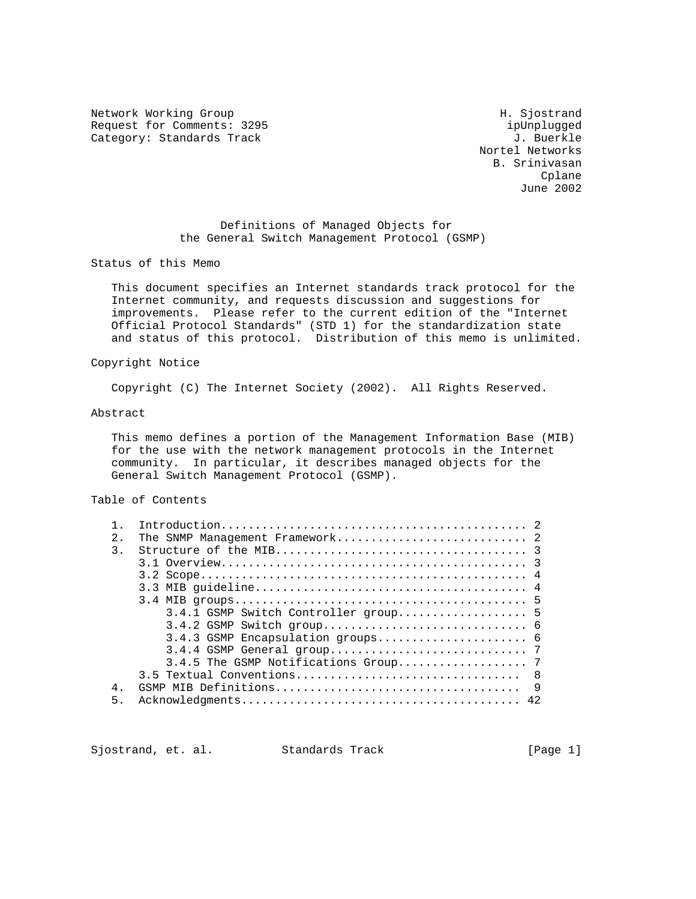Network Working Group Network More Show and Metwork More Show H. Sjostrand Request for Comments: 3295 ipUnplugged<br>
Category: Standards Track and the comments of the category: Standards Track Category: Standards Track

 Nortel Networks B. Srinivasan **Collando** Construction of the Construction of the Construction of the Construction of the Construction of the Construction of the Construction of the Construction of the Construction of the Construction of the Constructio June 2002

> Definitions of Managed Objects for the General Switch Management Protocol (GSMP)

Status of this Memo

 This document specifies an Internet standards track protocol for the Internet community, and requests discussion and suggestions for improvements. Please refer to the current edition of the "Internet Official Protocol Standards" (STD 1) for the standardization state and status of this protocol. Distribution of this memo is unlimited.

## Copyright Notice

Copyright (C) The Internet Society (2002). All Rights Reserved.

### Abstract

 This memo defines a portion of the Management Information Base (MIB) for the use with the network management protocols in the Internet community. In particular, it describes managed objects for the General Switch Management Protocol (GSMP).

# Table of Contents

| 2.1   |                                      |
|-------|--------------------------------------|
| 3.    |                                      |
|       |                                      |
|       |                                      |
|       |                                      |
|       |                                      |
|       | 3.4.1 GSMP Switch Controller group 5 |
|       |                                      |
|       |                                      |
|       |                                      |
|       |                                      |
|       |                                      |
| $4$ . |                                      |
| 5.    | 42                                   |
|       |                                      |

Sjostrand, et. al. Standards Track [Page 1]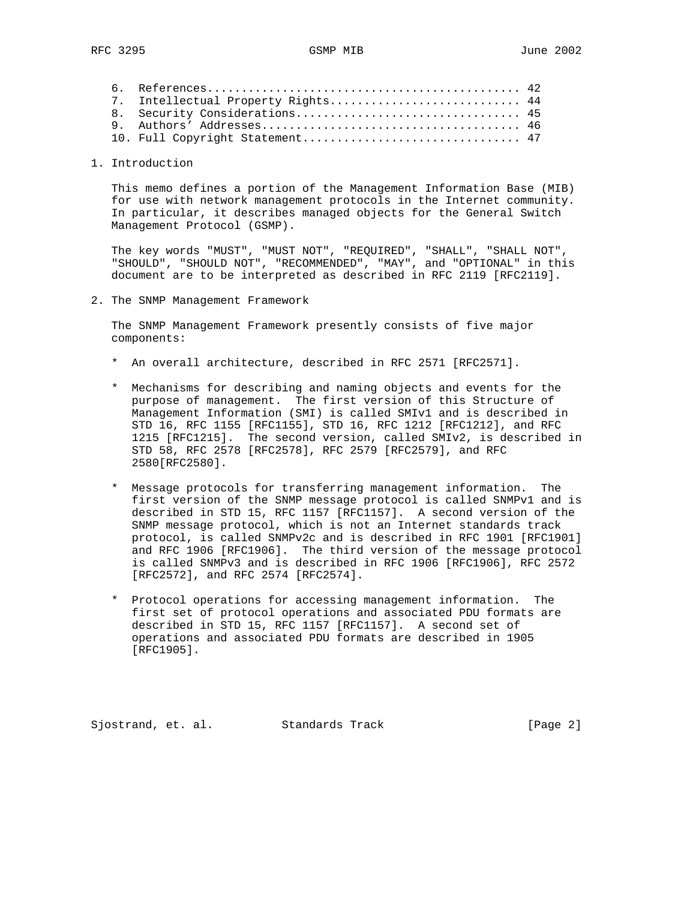|  | 7. Intellectual Property Rights 44 |  |
|--|------------------------------------|--|
|  |                                    |  |
|  |                                    |  |
|  |                                    |  |
|  |                                    |  |

# 1. Introduction

 This memo defines a portion of the Management Information Base (MIB) for use with network management protocols in the Internet community. In particular, it describes managed objects for the General Switch Management Protocol (GSMP).

 The key words "MUST", "MUST NOT", "REQUIRED", "SHALL", "SHALL NOT", "SHOULD", "SHOULD NOT", "RECOMMENDED", "MAY", and "OPTIONAL" in this document are to be interpreted as described in RFC 2119 [RFC2119].

2. The SNMP Management Framework

 The SNMP Management Framework presently consists of five major components:

- \* An overall architecture, described in RFC 2571 [RFC2571].
- \* Mechanisms for describing and naming objects and events for the purpose of management. The first version of this Structure of Management Information (SMI) is called SMIv1 and is described in STD 16, RFC 1155 [RFC1155], STD 16, RFC 1212 [RFC1212], and RFC 1215 [RFC1215]. The second version, called SMIv2, is described in STD 58, RFC 2578 [RFC2578], RFC 2579 [RFC2579], and RFC 2580[RFC2580].
- \* Message protocols for transferring management information. The first version of the SNMP message protocol is called SNMPv1 and is described in STD 15, RFC 1157 [RFC1157]. A second version of the SNMP message protocol, which is not an Internet standards track protocol, is called SNMPv2c and is described in RFC 1901 [RFC1901] and RFC 1906 [RFC1906]. The third version of the message protocol is called SNMPv3 and is described in RFC 1906 [RFC1906], RFC 2572 [RFC2572], and RFC 2574 [RFC2574].
- \* Protocol operations for accessing management information. The first set of protocol operations and associated PDU formats are described in STD 15, RFC 1157 [RFC1157]. A second set of operations and associated PDU formats are described in 1905 [RFC1905].

Sjostrand, et. al. Standards Track [Page 2]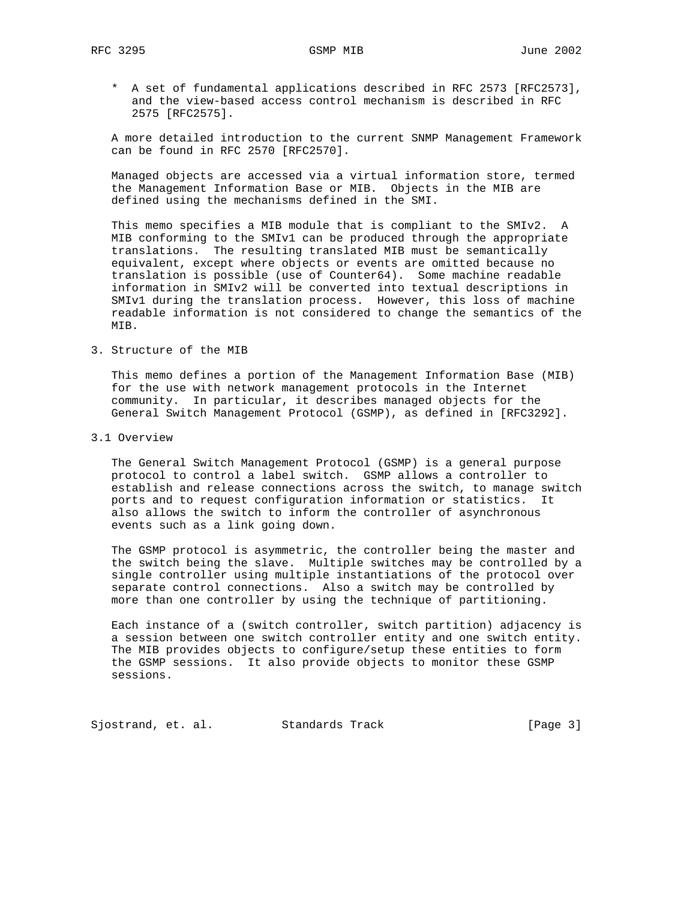\* A set of fundamental applications described in RFC 2573 [RFC2573], and the view-based access control mechanism is described in RFC 2575 [RFC2575].

 A more detailed introduction to the current SNMP Management Framework can be found in RFC 2570 [RFC2570].

 Managed objects are accessed via a virtual information store, termed the Management Information Base or MIB. Objects in the MIB are defined using the mechanisms defined in the SMI.

 This memo specifies a MIB module that is compliant to the SMIv2. A MIB conforming to the SMIv1 can be produced through the appropriate translations. The resulting translated MIB must be semantically equivalent, except where objects or events are omitted because no translation is possible (use of Counter64). Some machine readable information in SMIv2 will be converted into textual descriptions in SMIv1 during the translation process. However, this loss of machine readable information is not considered to change the semantics of the MIB.

3. Structure of the MIB

 This memo defines a portion of the Management Information Base (MIB) for the use with network management protocols in the Internet community. In particular, it describes managed objects for the General Switch Management Protocol (GSMP), as defined in [RFC3292].

3.1 Overview

 The General Switch Management Protocol (GSMP) is a general purpose protocol to control a label switch. GSMP allows a controller to establish and release connections across the switch, to manage switch ports and to request configuration information or statistics. It also allows the switch to inform the controller of asynchronous events such as a link going down.

 The GSMP protocol is asymmetric, the controller being the master and the switch being the slave. Multiple switches may be controlled by a single controller using multiple instantiations of the protocol over separate control connections. Also a switch may be controlled by more than one controller by using the technique of partitioning.

 Each instance of a (switch controller, switch partition) adjacency is a session between one switch controller entity and one switch entity. The MIB provides objects to configure/setup these entities to form the GSMP sessions. It also provide objects to monitor these GSMP sessions.

Sjostrand, et. al. Standards Track [Page 3]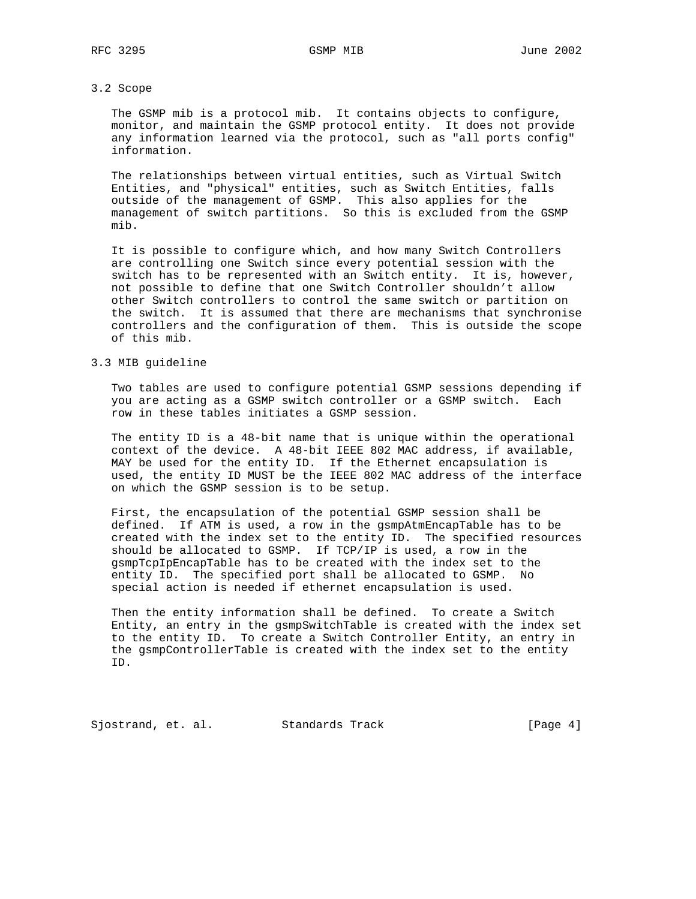### 3.2 Scope

 The GSMP mib is a protocol mib. It contains objects to configure, monitor, and maintain the GSMP protocol entity. It does not provide any information learned via the protocol, such as "all ports config" information.

 The relationships between virtual entities, such as Virtual Switch Entities, and "physical" entities, such as Switch Entities, falls outside of the management of GSMP. This also applies for the management of switch partitions. So this is excluded from the GSMP mib.

 It is possible to configure which, and how many Switch Controllers are controlling one Switch since every potential session with the switch has to be represented with an Switch entity. It is, however, not possible to define that one Switch Controller shouldn't allow other Switch controllers to control the same switch or partition on the switch. It is assumed that there are mechanisms that synchronise controllers and the configuration of them. This is outside the scope of this mib.

# 3.3 MIB guideline

 Two tables are used to configure potential GSMP sessions depending if you are acting as a GSMP switch controller or a GSMP switch. Each row in these tables initiates a GSMP session.

 The entity ID is a 48-bit name that is unique within the operational context of the device. A 48-bit IEEE 802 MAC address, if available, MAY be used for the entity ID. If the Ethernet encapsulation is used, the entity ID MUST be the IEEE 802 MAC address of the interface on which the GSMP session is to be setup.

 First, the encapsulation of the potential GSMP session shall be defined. If ATM is used, a row in the gsmpAtmEncapTable has to be created with the index set to the entity ID. The specified resources should be allocated to GSMP. If TCP/IP is used, a row in the gsmpTcpIpEncapTable has to be created with the index set to the entity ID. The specified port shall be allocated to GSMP. No special action is needed if ethernet encapsulation is used.

 Then the entity information shall be defined. To create a Switch Entity, an entry in the gsmpSwitchTable is created with the index set to the entity ID. To create a Switch Controller Entity, an entry in the gsmpControllerTable is created with the index set to the entity ID.

Sjostrand, et. al. Standards Track [Page 4]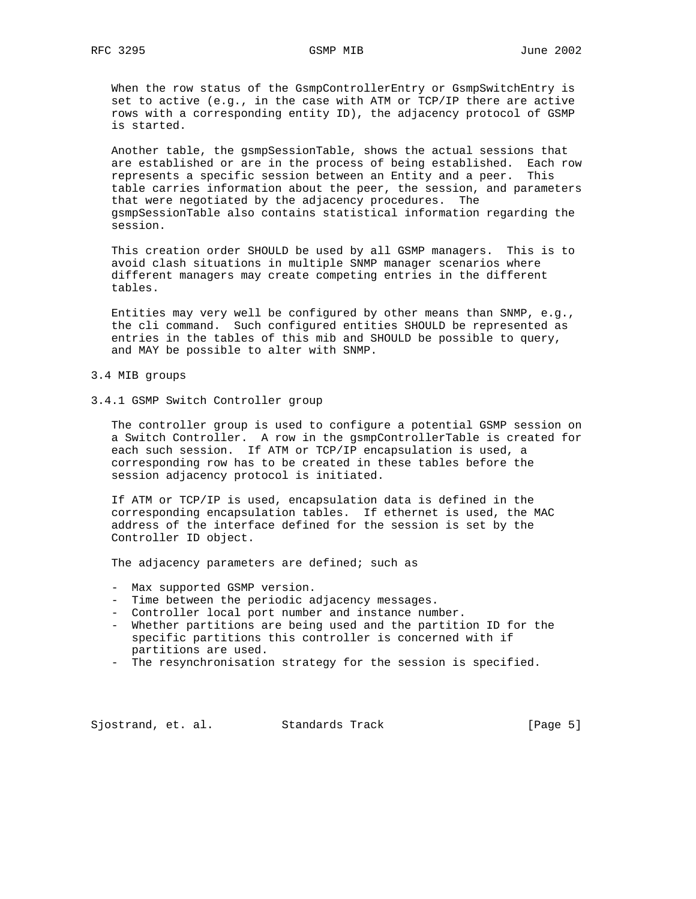When the row status of the GsmpControllerEntry or GsmpSwitchEntry is set to active (e.g., in the case with ATM or TCP/IP there are active rows with a corresponding entity ID), the adjacency protocol of GSMP is started.

 Another table, the gsmpSessionTable, shows the actual sessions that are established or are in the process of being established. Each row represents a specific session between an Entity and a peer. This table carries information about the peer, the session, and parameters that were negotiated by the adjacency procedures. The gsmpSessionTable also contains statistical information regarding the session.

 This creation order SHOULD be used by all GSMP managers. This is to avoid clash situations in multiple SNMP manager scenarios where different managers may create competing entries in the different tables.

 Entities may very well be configured by other means than SNMP, e.g., the cli command. Such configured entities SHOULD be represented as entries in the tables of this mib and SHOULD be possible to query, and MAY be possible to alter with SNMP.

### 3.4 MIB groups

3.4.1 GSMP Switch Controller group

 The controller group is used to configure a potential GSMP session on a Switch Controller. A row in the gsmpControllerTable is created for each such session. If ATM or TCP/IP encapsulation is used, a corresponding row has to be created in these tables before the session adjacency protocol is initiated.

 If ATM or TCP/IP is used, encapsulation data is defined in the corresponding encapsulation tables. If ethernet is used, the MAC address of the interface defined for the session is set by the Controller ID object.

The adjacency parameters are defined; such as

- Max supported GSMP version.
- Time between the periodic adjacency messages.
- Controller local port number and instance number.
- Whether partitions are being used and the partition ID for the specific partitions this controller is concerned with if partitions are used.
- The resynchronisation strategy for the session is specified.

Sjostrand, et. al. Standards Track [Page 5]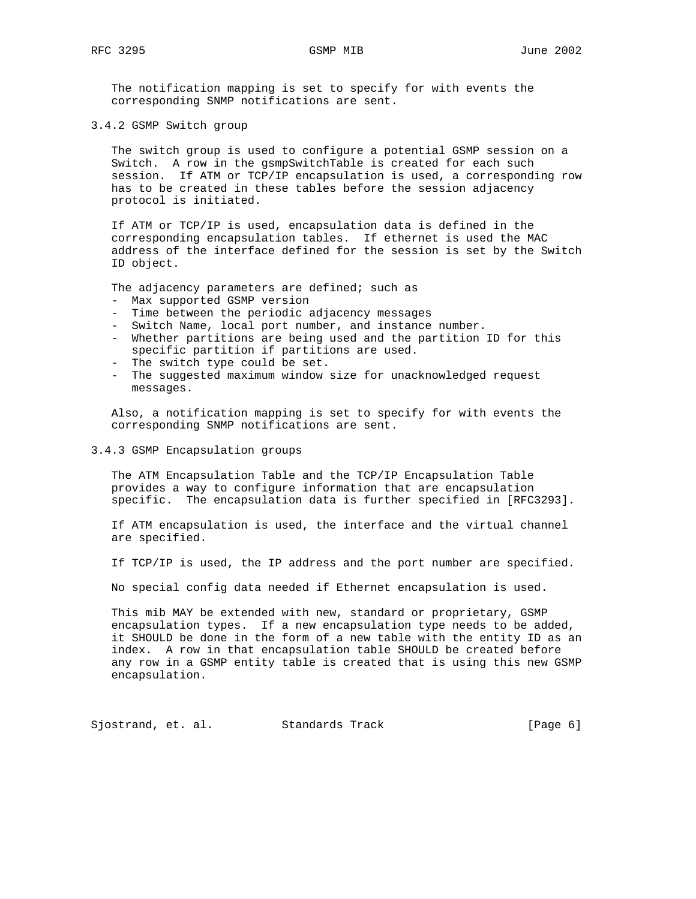The notification mapping is set to specify for with events the corresponding SNMP notifications are sent.

3.4.2 GSMP Switch group

 The switch group is used to configure a potential GSMP session on a Switch. A row in the gsmpSwitchTable is created for each such session. If ATM or TCP/IP encapsulation is used, a corresponding row has to be created in these tables before the session adjacency protocol is initiated.

 If ATM or TCP/IP is used, encapsulation data is defined in the corresponding encapsulation tables. If ethernet is used the MAC address of the interface defined for the session is set by the Switch ID object.

The adjacency parameters are defined; such as

- Max supported GSMP version
- Time between the periodic adjacency messages
- Switch Name, local port number, and instance number.
- Whether partitions are being used and the partition ID for this specific partition if partitions are used.
- The switch type could be set.
- The suggested maximum window size for unacknowledged request messages.

 Also, a notification mapping is set to specify for with events the corresponding SNMP notifications are sent.

## 3.4.3 GSMP Encapsulation groups

 The ATM Encapsulation Table and the TCP/IP Encapsulation Table provides a way to configure information that are encapsulation specific. The encapsulation data is further specified in [RFC3293].

 If ATM encapsulation is used, the interface and the virtual channel are specified.

If TCP/IP is used, the IP address and the port number are specified.

No special config data needed if Ethernet encapsulation is used.

 This mib MAY be extended with new, standard or proprietary, GSMP encapsulation types. If a new encapsulation type needs to be added, it SHOULD be done in the form of a new table with the entity ID as an index. A row in that encapsulation table SHOULD be created before any row in a GSMP entity table is created that is using this new GSMP encapsulation.

Sjostrand, et. al. Standards Track (Page 6)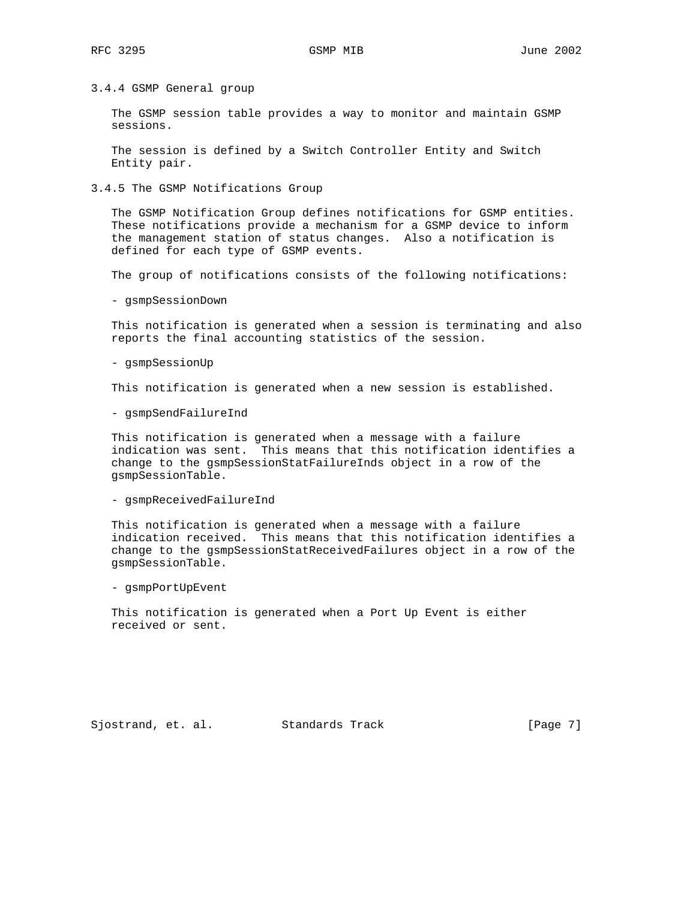3.4.4 GSMP General group

 The GSMP session table provides a way to monitor and maintain GSMP sessions.

 The session is defined by a Switch Controller Entity and Switch Entity pair.

3.4.5 The GSMP Notifications Group

 The GSMP Notification Group defines notifications for GSMP entities. These notifications provide a mechanism for a GSMP device to inform the management station of status changes. Also a notification is defined for each type of GSMP events.

The group of notifications consists of the following notifications:

- gsmpSessionDown

 This notification is generated when a session is terminating and also reports the final accounting statistics of the session.

- gsmpSessionUp

This notification is generated when a new session is established.

- gsmpSendFailureInd

 This notification is generated when a message with a failure indication was sent. This means that this notification identifies a change to the gsmpSessionStatFailureInds object in a row of the gsmpSessionTable.

- gsmpReceivedFailureInd

 This notification is generated when a message with a failure indication received. This means that this notification identifies a change to the gsmpSessionStatReceivedFailures object in a row of the gsmpSessionTable.

- gsmpPortUpEvent

 This notification is generated when a Port Up Event is either received or sent.

Sjostrand, et. al. Standards Track [Page 7]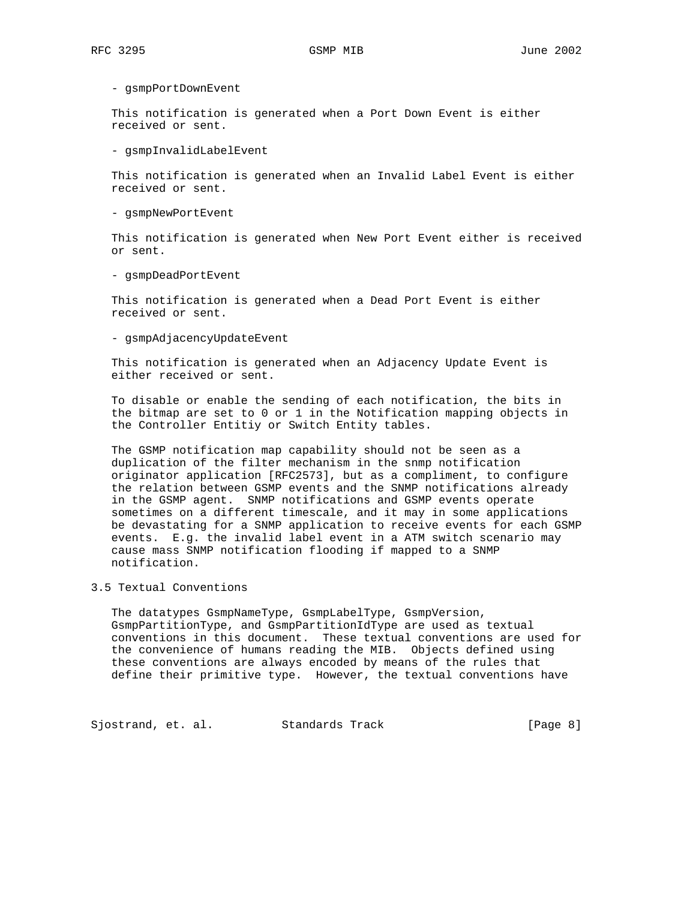- gsmpPortDownEvent

 This notification is generated when a Port Down Event is either received or sent.

- gsmpInvalidLabelEvent

 This notification is generated when an Invalid Label Event is either received or sent.

- gsmpNewPortEvent

 This notification is generated when New Port Event either is received or sent.

- gsmpDeadPortEvent

 This notification is generated when a Dead Port Event is either received or sent.

- gsmpAdjacencyUpdateEvent

 This notification is generated when an Adjacency Update Event is either received or sent.

 To disable or enable the sending of each notification, the bits in the bitmap are set to 0 or 1 in the Notification mapping objects in the Controller Entitiy or Switch Entity tables.

 The GSMP notification map capability should not be seen as a duplication of the filter mechanism in the snmp notification originator application [RFC2573], but as a compliment, to configure the relation between GSMP events and the SNMP notifications already in the GSMP agent. SNMP notifications and GSMP events operate sometimes on a different timescale, and it may in some applications be devastating for a SNMP application to receive events for each GSMP events. E.g. the invalid label event in a ATM switch scenario may cause mass SNMP notification flooding if mapped to a SNMP notification.

3.5 Textual Conventions

 The datatypes GsmpNameType, GsmpLabelType, GsmpVersion, GsmpPartitionType, and GsmpPartitionIdType are used as textual conventions in this document. These textual conventions are used for the convenience of humans reading the MIB. Objects defined using these conventions are always encoded by means of the rules that define their primitive type. However, the textual conventions have

Sjostrand, et. al. Standards Track [Page 8]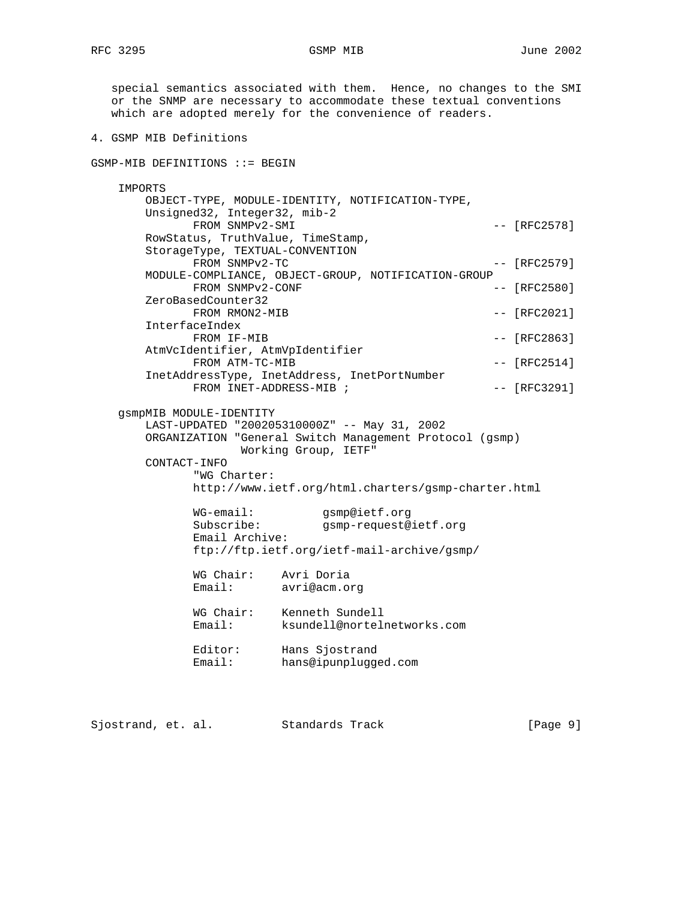special semantics associated with them. Hence, no changes to the SMI or the SNMP are necessary to accommodate these textual conventions which are adopted merely for the convenience of readers. 4. GSMP MIB Definitions GSMP-MIB DEFINITIONS ::= BEGIN IMPORTS OBJECT-TYPE, MODULE-IDENTITY, NOTIFICATION-TYPE, Unsigned32, Integer32, mib-2 FROM SNMPv2-SMI  $-$  [RFC2578] RowStatus, TruthValue, TimeStamp, StorageType, TEXTUAL-CONVENTION FROM SNMPv2-TC  $---$  [RFC2579] MODULE-COMPLIANCE, OBJECT-GROUP, NOTIFICATION-GROUP FROM SNMPv2-CONF  $---$  [RFC2580] ZeroBasedCounter32 FROM RMON2-MIB  $---$  [RFC2021] InterfaceIndex FROM IF-MIB  $-$  [RFC2863] AtmVcIdentifier, AtmVpIdentifier FROM ATM-TC-MIB  $-$  [RFC2514] InetAddressType, InetAddress, InetPortNumber FROM INET-ADDRESS-MIB ;  $-$  [RFC3291] gsmpMIB MODULE-IDENTITY LAST-UPDATED "200205310000Z" -- May 31, 2002 ORGANIZATION "General Switch Management Protocol (gsmp) Working Group, IETF" CONTACT-INFO "WG Charter: http://www.ietf.org/html.charters/gsmp-charter.html WG-email: gsmp@ietf.org<br>Subscribe: qsmp-request@ gsmp-request@ietf.org Email Archive: ftp://ftp.ietf.org/ietf-mail-archive/gsmp/ WG Chair: Avri Doria<br>Email: avri@acm.o avri@acm.org WG Chair: Kenneth Sundell Email: ksundell@nortelnetworks.com Editor: Hans Sjostrand Email: hans@ipunplugged.com

Sjostrand, et. al. Standards Track [Page 9]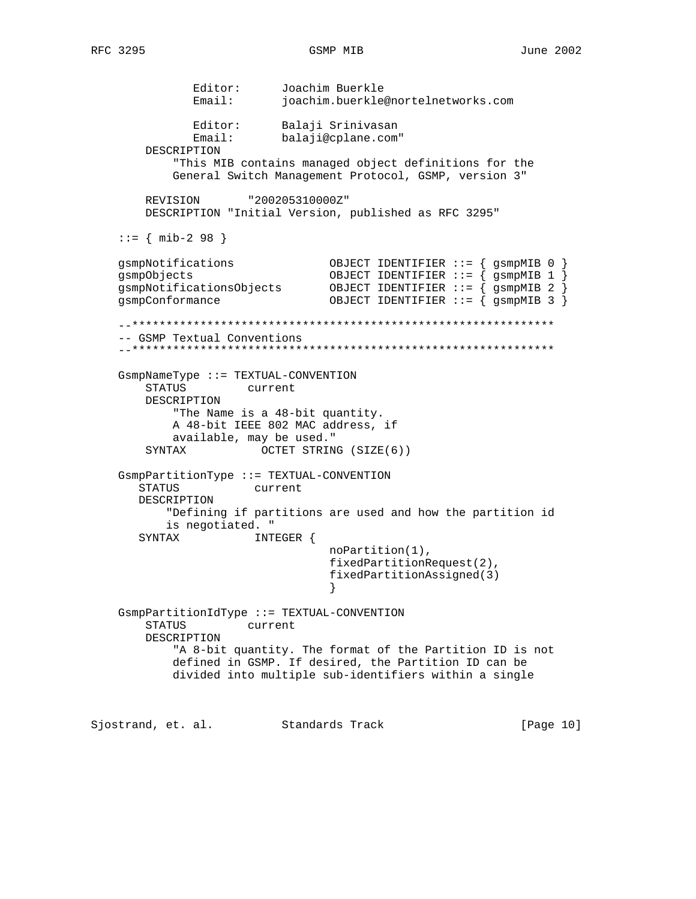Editor: Joachim Buerkle<br>ioachim buerkle Email: joachim.buerkle@nortelnetworks.com Editor: Balaji Srinivasan Email: balaji@cplane.com" DESCRIPTION "This MIB contains managed object definitions for the General Switch Management Protocol, GSMP, version 3" REVISION "200205310000Z" DESCRIPTION "Initial Version, published as RFC 3295"  $::=$  { mib-2 98 } gsmpNotifications OBJECT IDENTIFIER ::= { gsmpMIB 0 } OBJECT IDENTIFIER  $::=$   ${$  gsmpMIB 1  $}$  gsmpNotificationsObjects OBJECT IDENTIFIER ::= { gsmpMIB 2 } gsmpConformance OBJECT IDENTIFIER ::= { gsmpMIB 3 } --\*\*\*\*\*\*\*\*\*\*\*\*\*\*\*\*\*\*\*\*\*\*\*\*\*\*\*\*\*\*\*\*\*\*\*\*\*\*\*\*\*\*\*\*\*\*\*\*\*\*\*\*\*\*\*\*\*\*\*\*\*\* -- GSMP Textual Conventions --\*\*\*\*\*\*\*\*\*\*\*\*\*\*\*\*\*\*\*\*\*\*\*\*\*\*\*\*\*\*\*\*\*\*\*\*\*\*\*\*\*\*\*\*\*\*\*\*\*\*\*\*\*\*\*\*\*\*\*\*\*\* GsmpNameType ::= TEXTUAL-CONVENTION STATUS current DESCRIPTION "The Name is a 48-bit quantity. A 48-bit IEEE 802 MAC address, if available, may be used." SYNTAX OCTET STRING (SIZE(6)) GsmpPartitionType ::= TEXTUAL-CONVENTION STATUS current DESCRIPTION "Defining if partitions are used and how the partition id is negotiated. " SYNTAX INTEGER { noPartition(1), fixedPartitionRequest(2), fixedPartitionAssigned(3) } GsmpPartitionIdType ::= TEXTUAL-CONVENTION STATUS current DESCRIPTION "A 8-bit quantity. The format of the Partition ID is not defined in GSMP. If desired, the Partition ID can be divided into multiple sub-identifiers within a single

Sjostrand, et. al. Standards Track [Page 10]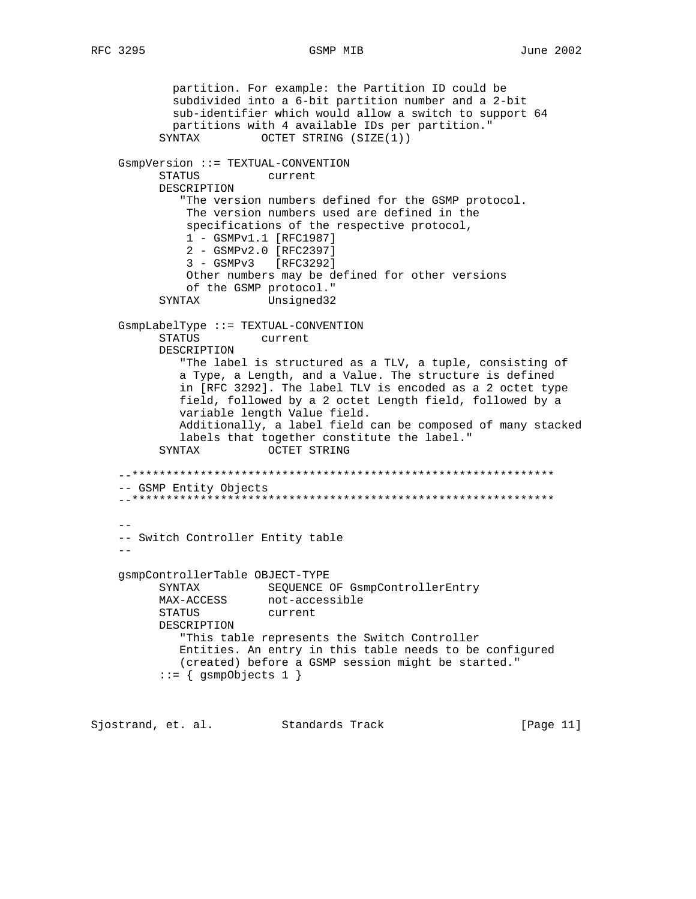partition. For example: the Partition ID could be subdivided into a 6-bit partition number and a 2-bit sub-identifier which would allow a switch to support 64 partitions with 4 available IDs per partition." SYNTAX OCTET STRING (SIZE(1)) GsmpVersion ::= TEXTUAL-CONVENTION STATUS current DESCRIPTION "The version numbers defined for the GSMP protocol. The version numbers used are defined in the specifications of the respective protocol, 1 - GSMPv1.1 [RFC1987] 2 - GSMPv2.0 [RFC2397] 3 - GSMPv3 [RFC3292] Other numbers may be defined for other versions of the GSMP protocol." SYNTAX Unsigned32 GsmpLabelType ::= TEXTUAL-CONVENTION STATUS current DESCRIPTION "The label is structured as a TLV, a tuple, consisting of a Type, a Length, and a Value. The structure is defined in [RFC 3292]. The label TLV is encoded as a 2 octet type field, followed by a 2 octet Length field, followed by a variable length Value field. Additionally, a label field can be composed of many stacked labels that together constitute the label." SYNTAX OCTET STRING --\*\*\*\*\*\*\*\*\*\*\*\*\*\*\*\*\*\*\*\*\*\*\*\*\*\*\*\*\*\*\*\*\*\*\*\*\*\*\*\*\*\*\*\*\*\*\*\*\*\*\*\*\*\*\*\*\*\*\*\*\*\* -- GSMP Entity Objects --\*\*\*\*\*\*\*\*\*\*\*\*\*\*\*\*\*\*\*\*\*\*\*\*\*\*\*\*\*\*\*\*\*\*\*\*\*\*\*\*\*\*\*\*\*\*\*\*\*\*\*\*\*\*\*\*\*\*\*\*\*\* -- -- Switch Controller Entity table - gsmpControllerTable OBJECT-TYPE SYNTAX SEQUENCE OF GsmpControllerEntry MAX-ACCESS not-accessible STATUS current DESCRIPTION "This table represents the Switch Controller Entities. An entry in this table needs to be configured (created) before a GSMP session might be started."  $::=$  { gsmpObjects 1 }

Sjostrand, et. al. Standards Track [Page 11]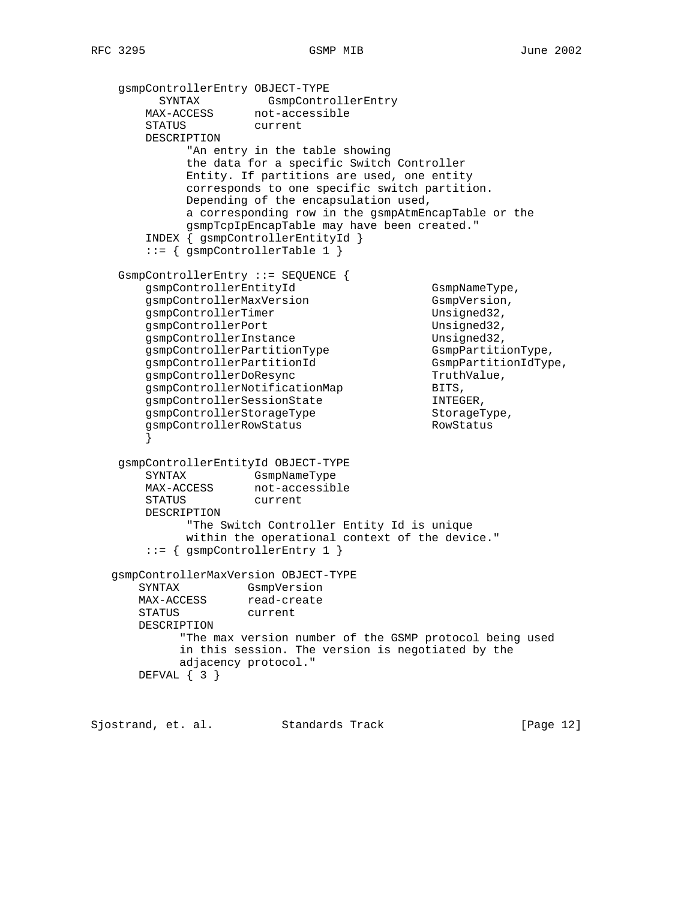```
 gsmpControllerEntry OBJECT-TYPE
SYNTAX GsmpControllerEntry
MAX-ACCESS not-accessible
        STATUS current
        DESCRIPTION
              "An entry in the table showing
              the data for a specific Switch Controller
              Entity. If partitions are used, one entity
              corresponds to one specific switch partition.
              Depending of the encapsulation used,
              a corresponding row in the gsmpAtmEncapTable or the
              gsmpTcpIpEncapTable may have been created."
        INDEX { gsmpControllerEntityId }
        ::= { gsmpControllerTable 1 }
    GsmpControllerEntry ::= SEQUENCE {
       gsmpControllerEntityId GsmpNameType,<br>qsmpControllerMaxVersion GsmpVersion,
       gsmpControllerMaxVersion
       gsmpControllerTimer Unsigned32,
       gsmpControllerPort Unsigned32,
       gsmpControllerInstance Unsigned32,<br>gsmpControllerPartitionType GsmpPartitionType,<br>gsmpControllerPartitionId<br>gsmpControllerDoResync TruthValue,
       gsmpcontrollerPartitionType
       gsmpControllerPartitionId
       gsmpControllerDoResync Truth<br>qsmpControllerNotificationMap BITS,
gsmpControllerNotificationMap BITS,
gsmpControllerSessionState TNTEGER,
gsmpControllerStorageType storageType,
        gsmpControllerRowStatus RowStatus
 }
    gsmpControllerEntityId OBJECT-TYPE
 SYNTAX GsmpNameType
MAX-ACCESS not-accessible
       SINIAA<br>MAX-ACCESS not-acce<br>STATUS current
        DESCRIPTION
              "The Switch Controller Entity Id is unique
              within the operational context of the device."
        ::= { gsmpControllerEntry 1 }
   gsmpControllerMaxVersion OBJECT-TYPE
       SYNTAX GsmpVersion
MAX-ACCESS read-create
 STATUS current
       DESCRIPTION
             "The max version number of the GSMP protocol being used
             in this session. The version is negotiated by the
             adjacency protocol."
       DEFVAL { 3 }
```
Sjostrand, et. al. Standards Track [Page 12]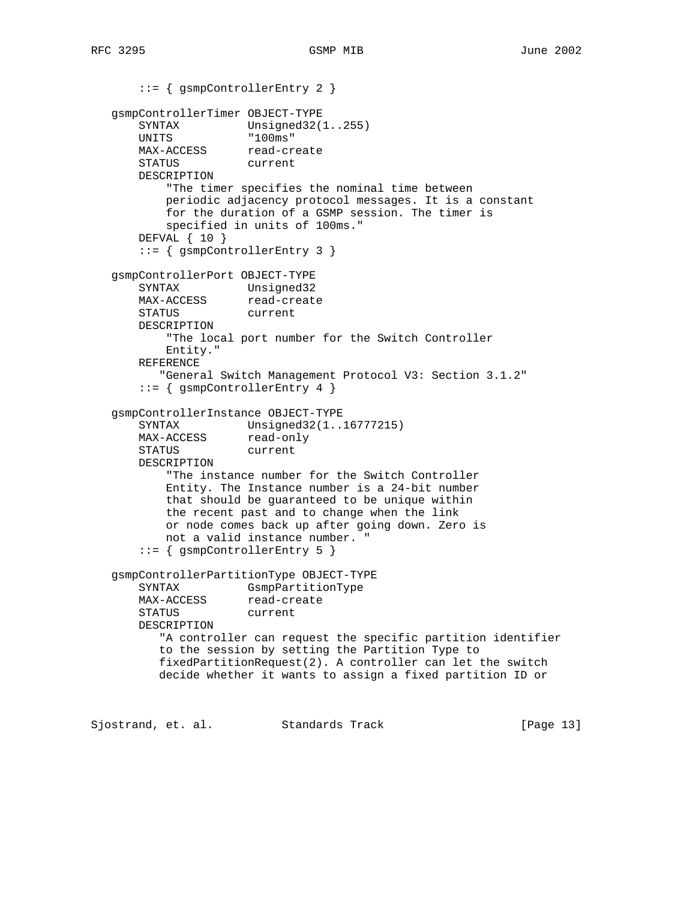```
 ::= { gsmpControllerEntry 2 }
   gsmpControllerTimer OBJECT-TYPE
      SYNTAX Unsigned32(1..255)
 UNITS "100ms"
MAX-ACCESS read-create
 STATUS current
       DESCRIPTION
           "The timer specifies the nominal time between
           periodic adjacency protocol messages. It is a constant
           for the duration of a GSMP session. The timer is
           specified in units of 100ms."
       DEFVAL { 10 }
       ::= { gsmpControllerEntry 3 }
   gsmpControllerPort OBJECT-TYPE
       SYNTAX Unsigned32
MAX-ACCESS read-create
 STATUS current
       DESCRIPTION
           "The local port number for the Switch Controller
           Entity."
       REFERENCE
          "General Switch Management Protocol V3: Section 3.1.2"
       ::= { gsmpControllerEntry 4 }
   gsmpControllerInstance OBJECT-TYPE
      SYNTAX Unsigned32(1..16777215)<br>MAX-ACCESS read-only
      MAX-ACCESS read-on<br>STATUS current
      STATUS
       DESCRIPTION
           "The instance number for the Switch Controller
           Entity. The Instance number is a 24-bit number
           that should be guaranteed to be unique within
           the recent past and to change when the link
           or node comes back up after going down. Zero is
           not a valid instance number. "
       ::= { gsmpControllerEntry 5 }
   gsmpControllerPartitionType OBJECT-TYPE
       SYNTAX GsmpPartitionType
      MAX-ACCESS read-create
       STATUS current
       DESCRIPTION
          "A controller can request the specific partition identifier
          to the session by setting the Partition Type to
          fixedPartitionRequest(2). A controller can let the switch
          decide whether it wants to assign a fixed partition ID or
```
Sjostrand, et. al. Standards Track [Page 13]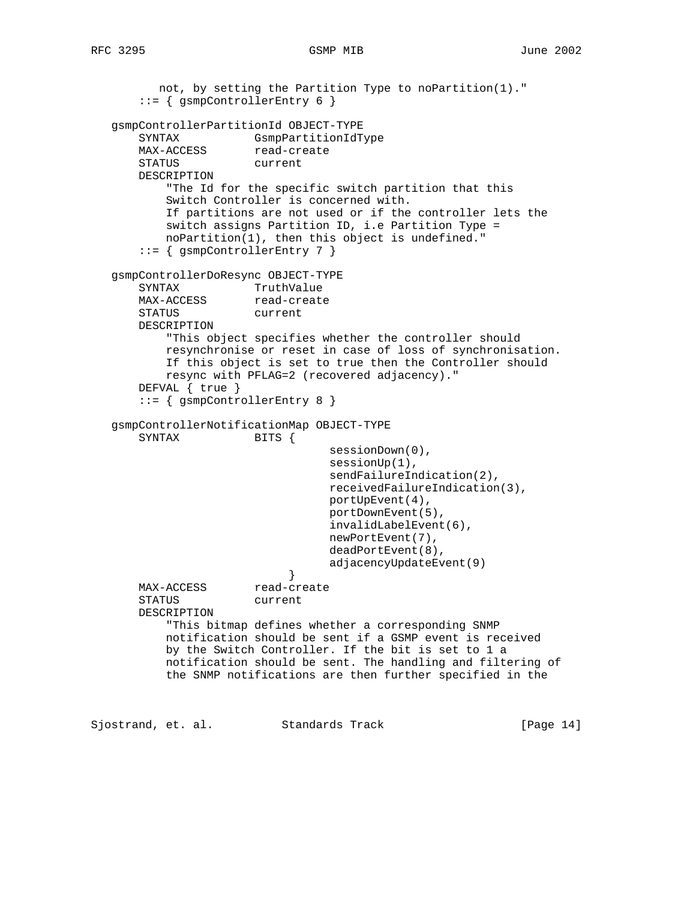```
 not, by setting the Partition Type to noPartition(1)."
       ::= { gsmpControllerEntry 6 }
   gsmpControllerPartitionId OBJECT-TYPE
       SYNTAX GsmpPartitionIdType
      MAX-ACCESS read-create
       STATUS current
       DESCRIPTION
           "The Id for the specific switch partition that this
           Switch Controller is concerned with.
           If partitions are not used or if the controller lets the
           switch assigns Partition ID, i.e Partition Type =
           noPartition(1), then this object is undefined."
       ::= { gsmpControllerEntry 7 }
   gsmpControllerDoResync OBJECT-TYPE
      SYNTAX TruthValue<br>MAX-ACCESS read-create
      MAX-ACCESS
       STATUS current
       DESCRIPTION
           "This object specifies whether the controller should
           resynchronise or reset in case of loss of synchronisation.
           If this object is set to true then the Controller should
           resync with PFLAG=2 (recovered adjacency)."
       DEFVAL { true }
       ::= { gsmpControllerEntry 8 }
   gsmpControllerNotificationMap OBJECT-TYPE
       SYNTAX BITS {
                                   sessionDown(0),
                                   sessionUp(1),
                                 sendFailureIndication(2),
                                  receivedFailureIndication(3),
                                  portUpEvent(4),
                                  portDownEvent(5),
                                   invalidLabelEvent(6),
                                  newPortEvent(7),
                                   deadPortEvent(8),
                            adjacencyUpdateEvent(9)<br>}
 }
      MAX-ACCESS read-create
       STATUS current
       DESCRIPTION
           "This bitmap defines whether a corresponding SNMP
           notification should be sent if a GSMP event is received
           by the Switch Controller. If the bit is set to 1 a
           notification should be sent. The handling and filtering of
           the SNMP notifications are then further specified in the
```
Sjostrand, et. al. Standards Track [Page 14]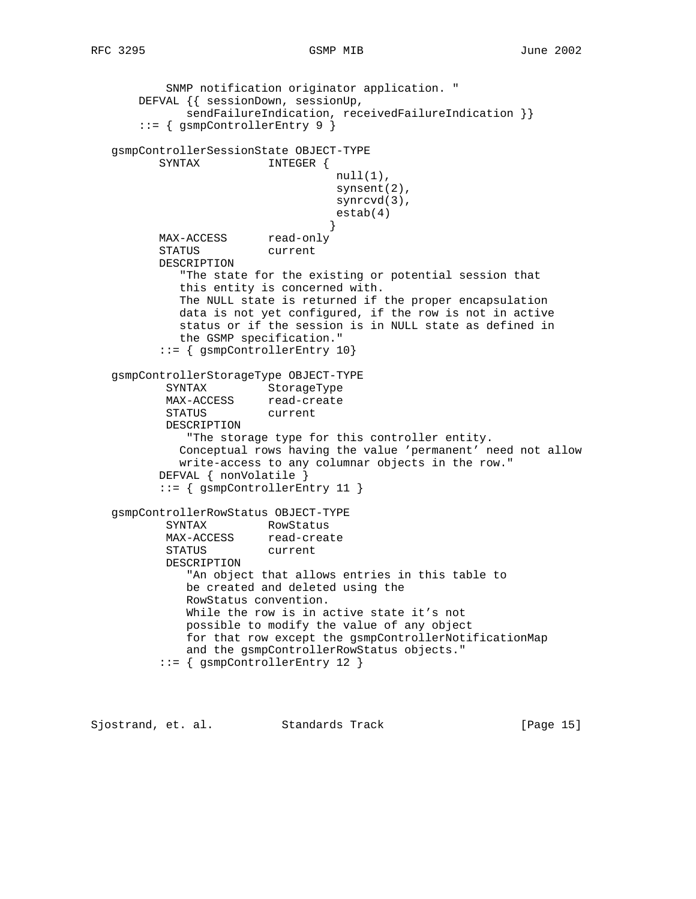```
RFC 3295 GSMP MIB June 2002
```
 SNMP notification originator application. " DEFVAL {{ sessionDown, sessionUp, sendFailureIndication, receivedFailureIndication }} ::= { gsmpControllerEntry 9 } gsmpControllerSessionState OBJECT-TYPE SYNTAX INTEGER {  $null(1)$ , synsent(2), synrcvd(3), estab(4) } MAX-ACCESS read-only STATUS current DESCRIPTION "The state for the existing or potential session that this entity is concerned with. The NULL state is returned if the proper encapsulation data is not yet configured, if the row is not in active status or if the session is in NULL state as defined in the GSMP specification." ::= { gsmpControllerEntry 10} gsmpControllerStorageType OBJECT-TYPE SYNTAX StorageType MAX-ACCESS read-create STATUS current DESCRIPTION "The storage type for this controller entity. Conceptual rows having the value 'permanent' need not allow write-access to any columnar objects in the row." DEFVAL { nonVolatile } ::= { gsmpControllerEntry 11 } gsmpControllerRowStatus OBJECT-TYPE SYNTAX RowStatus MAX-ACCESS read-create STATUS current DESCRIPTION "An object that allows entries in this table to be created and deleted using the RowStatus convention. While the row is in active state it's not possible to modify the value of any object for that row except the gsmpControllerNotificationMap and the gsmpControllerRowStatus objects." ::= { gsmpControllerEntry 12 }

Sjostrand, et. al. Standards Track [Page 15]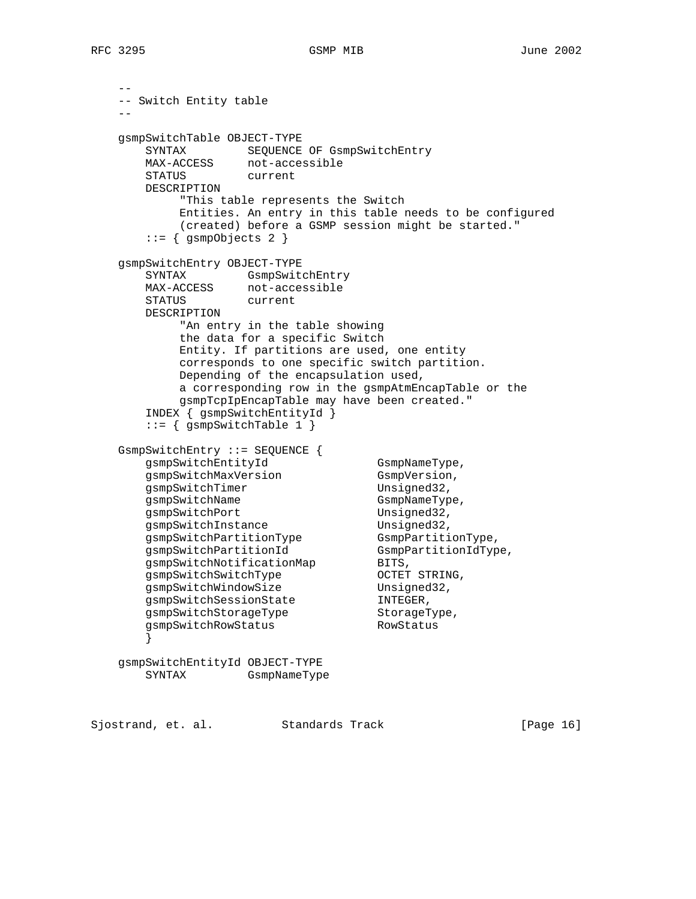RFC 3295 GSMP MIB June 2002

```
 --
    -- Switch Entity table
 --
    gsmpSwitchTable OBJECT-TYPE
 SYNTAX SEQUENCE OF GsmpSwitchEntry
 MAX-ACCESS not-accessible
      STATUS current
      DESCRIPTION
           "This table represents the Switch
           Entities. An entry in this table needs to be configured
           (created) before a GSMP session might be started."
       ::= { gsmpObjects 2 }
    gsmpSwitchEntry OBJECT-TYPE
 SYNTAX GsmpSwitchEntry
 MAX-ACCESS not-accessible
 STATUS current
      DESCRIPTION
           "An entry in the table showing
           the data for a specific Switch
           Entity. If partitions are used, one entity
           corresponds to one specific switch partition.
           Depending of the encapsulation used,
           a corresponding row in the gsmpAtmEncapTable or the
           gsmpTcpIpEncapTable may have been created."
       INDEX { gsmpSwitchEntityId }
      ::= { qsmpSwitchTable 1 }
    GsmpSwitchEntry ::= SEQUENCE {
gsmpSwitchEntityId GsmpNameType,
gsmpSwitchMaxVersion GsmpVersion,
gsmpSwitchTimer Unsigned32,
gsmpSwitchName GsmpNameType,
gsmpSwitchPort Unsigned32,
gsmpSwitchInstance Unsigned32,
gsmpSwitchPartitionType GsmpPartitionType,
 gsmpSwitchPartitionId GsmpPartitionIdType,
gsmpSwitchNotificationMap BITS,
 gsmpSwitchSwitchType OCTET STRING,
gsmpSwitchWindowSize Unsigned32,
gsmpSwitchSessionState INTEGER,
gsmpSwitchStorageType storageType,
gsmpSwitchRowStatus RowStatus
 }
    gsmpSwitchEntityId OBJECT-TYPE
      SYNTAX GsmpNameType
```
Sjostrand, et. al. Standards Track [Page 16]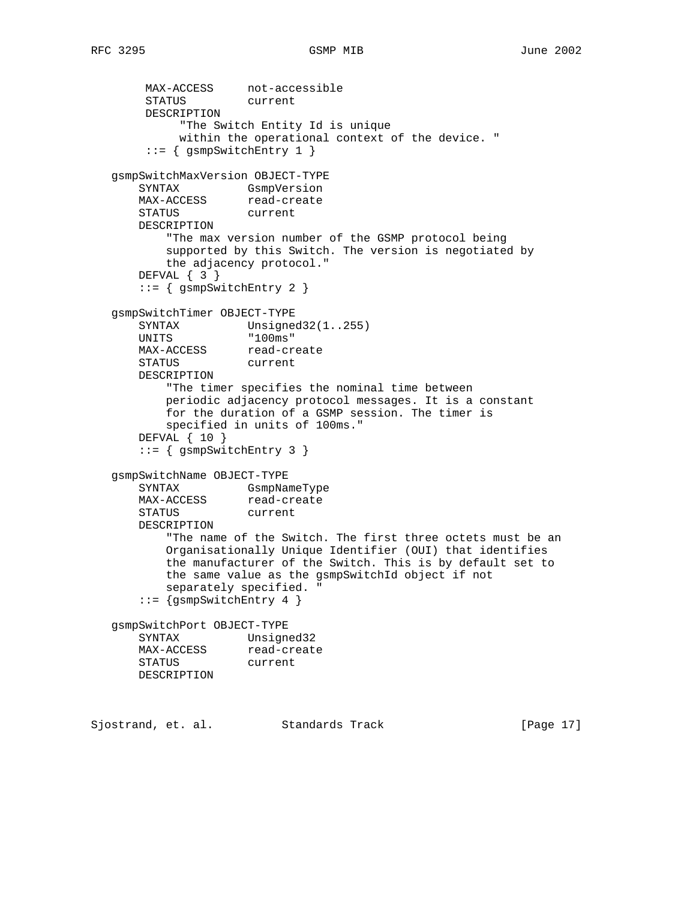```
RFC 3295 GSMP MIB June 2002
```
 MAX-ACCESS not-accessible STATUS current DESCRIPTION "The Switch Entity Id is unique within the operational context of the device. " ::= { gsmpSwitchEntry 1 } gsmpSwitchMaxVersion OBJECT-TYPE SYNTAX GsmpVersion MAX-ACCESS read-create STATUS current DESCRIPTION "The max version number of the GSMP protocol being supported by this Switch. The version is negotiated by the adjacency protocol." DEFVAL { 3 } ::= { gsmpSwitchEntry 2 } gsmpSwitchTimer OBJECT-TYPE SYNTAX Unsigned32(1..255) UNITS "100ms" MAX-ACCESS read-create STATUS current DESCRIPTION "The timer specifies the nominal time between periodic adjacency protocol messages. It is a constant for the duration of a GSMP session. The timer is specified in units of 100ms." DEFVAL { 10 } ::= { gsmpSwitchEntry 3 } gsmpSwitchName OBJECT-TYPE SYNTAX GsmpNameType MAX-ACCESS read-create STATUS current DESCRIPTION "The name of the Switch. The first three octets must be an Organisationally Unique Identifier (OUI) that identifies the manufacturer of the Switch. This is by default set to the same value as the gsmpSwitchId object if not separately specified. " ::= {gsmpSwitchEntry 4 } gsmpSwitchPort OBJECT-TYPE SYNTAX Unsigned32 MAX-ACCESS read-create STATUS current DESCRIPTION Sjostrand, et. al. Standards Track [Page 17]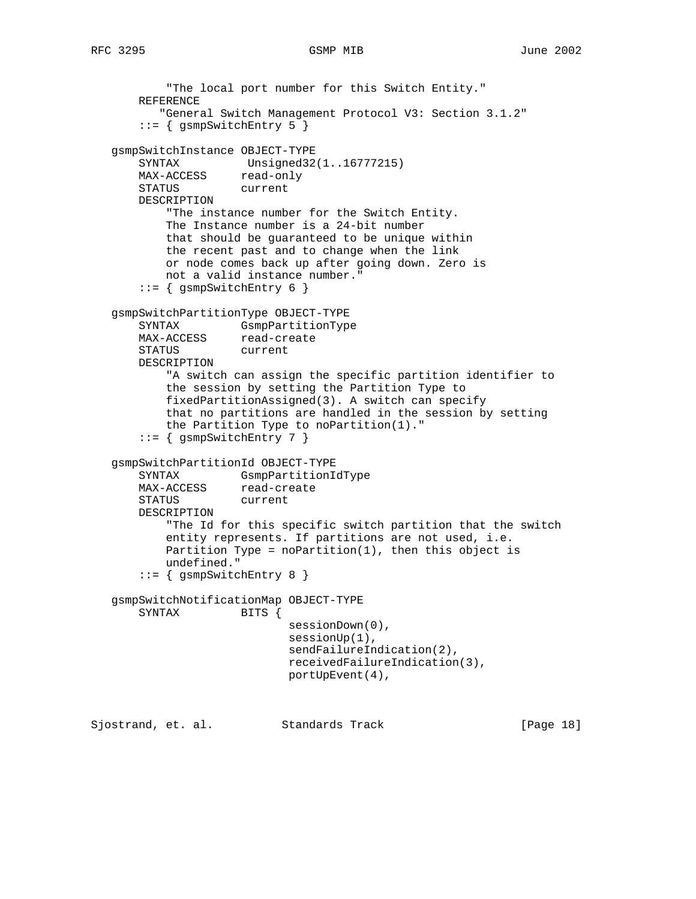```
RFC 3295 GSMP MIB June 2002
```
 "The local port number for this Switch Entity." REFERENCE "General Switch Management Protocol V3: Section 3.1.2" ::= { gsmpSwitchEntry 5 } gsmpSwitchInstance OBJECT-TYPE SYNTAX Unsigned32(1..16777215) MAX-ACCESS read-only STATUS current DESCRIPTION "The instance number for the Switch Entity. The Instance number is a 24-bit number that should be guaranteed to be unique within the recent past and to change when the link or node comes back up after going down. Zero is not a valid instance number." ::= { gsmpSwitchEntry 6 } gsmpSwitchPartitionType OBJECT-TYPE SYNTAX GsmpPartitionType MAX-ACCESS read-create STATUS current DESCRIPTION "A switch can assign the specific partition identifier to the session by setting the Partition Type to fixedPartitionAssigned(3). A switch can specify that no partitions are handled in the session by setting the Partition Type to noPartition(1)." ::= { gsmpSwitchEntry 7 } gsmpSwitchPartitionId OBJECT-TYPE SYNTAX GsmpPartitionIdType MAX-ACCESS read-create STATUS current DESCRIPTION "The Id for this specific switch partition that the switch entity represents. If partitions are not used, i.e. Partition Type = noPartition $(1)$ , then this object is undefined." ::= { gsmpSwitchEntry 8 } gsmpSwitchNotificationMap OBJECT-TYPE SYNTAX BITS { sessionDown(0), sessionUp(1), sendFailureIndication(2), receivedFailureIndication(3), portUpEvent(4), Sjostrand, et. al. Standards Track [Page 18]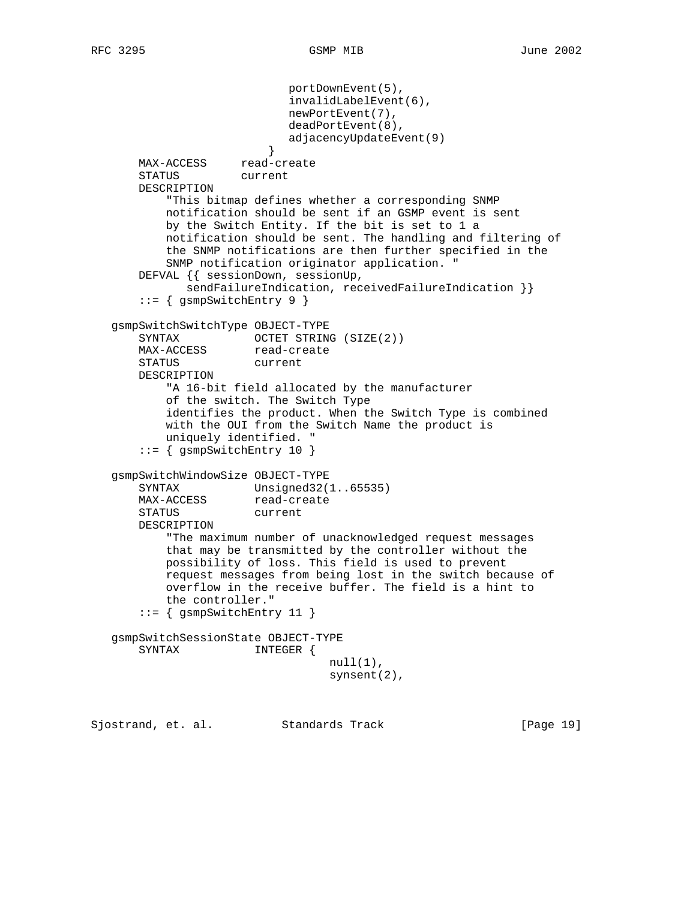portDownEvent(5), invalidLabelEvent(6), newPortEvent(7), deadPortEvent(8), adjacencyUpdateEvent(9) } MAX-ACCESS read-create STATUS current DESCRIPTION "This bitmap defines whether a corresponding SNMP notification should be sent if an GSMP event is sent by the Switch Entity. If the bit is set to 1 a notification should be sent. The handling and filtering of the SNMP notifications are then further specified in the SNMP notification originator application. " DEFVAL {{ sessionDown, sessionUp, sendFailureIndication, receivedFailureIndication } } ::= { gsmpSwitchEntry 9 } gsmpSwitchSwitchType OBJECT-TYPE SYNTAX OCTET STRING (SIZE(2)) MAX-ACCESS read-create STATUS current DESCRIPTION "A 16-bit field allocated by the manufacturer of the switch. The Switch Type identifies the product. When the Switch Type is combined with the OUI from the Switch Name the product is uniquely identified. " ::= { gsmpSwitchEntry 10 } gsmpSwitchWindowSize OBJECT-TYPE SYNTAX Unsigned32(1..65535) MAX-ACCESS read-create STATUS current DESCRIPTION "The maximum number of unacknowledged request messages that may be transmitted by the controller without the possibility of loss. This field is used to prevent request messages from being lost in the switch because of overflow in the receive buffer. The field is a hint to the controller." ::= { gsmpSwitchEntry 11 } gsmpSwitchSessionState OBJECT-TYPE SYNTAX INTEGER {  $null(1)$ , synsent(2),

Sjostrand, et. al. Standards Track [Page 19]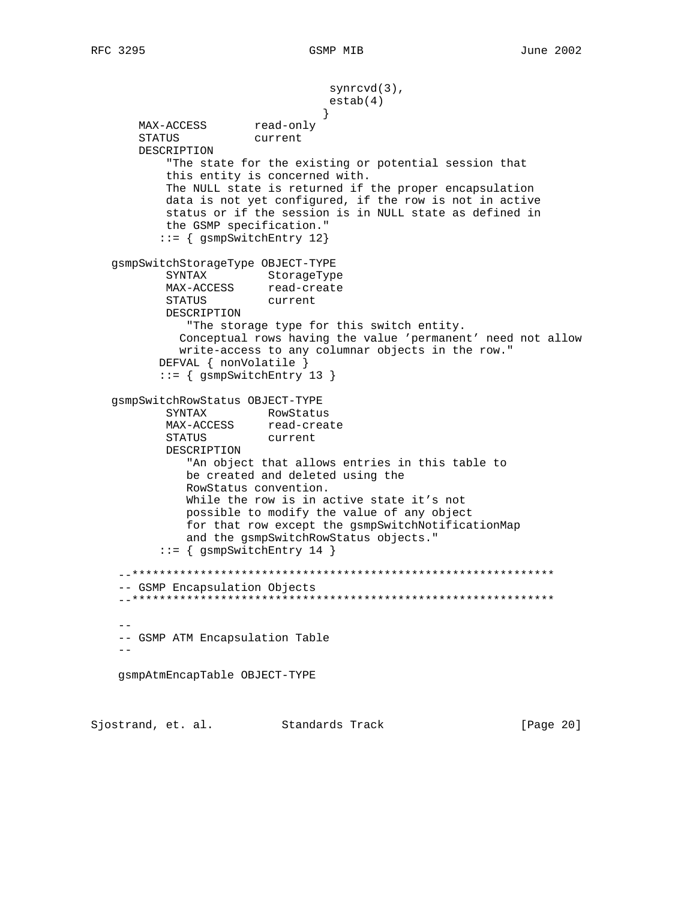synrcvd(3), estab(4) } MAX-ACCESS read-only STATUS current DESCRIPTION "The state for the existing or potential session that this entity is concerned with. The NULL state is returned if the proper encapsulation data is not yet configured, if the row is not in active status or if the session is in NULL state as defined in the GSMP specification." ::= { gsmpSwitchEntry 12} gsmpSwitchStorageType OBJECT-TYPE SYNTAX StorageType MAX-ACCESS read-create<br>STATUS current STATUS DESCRIPTION "The storage type for this switch entity. Conceptual rows having the value 'permanent' need not allow write-access to any columnar objects in the row." DEFVAL { nonVolatile } ::= { gsmpSwitchEntry 13 } gsmpSwitchRowStatus OBJECT-TYPE SYNTAX RowStatus MAX-ACCESS read-create STATUS current DESCRIPTION "An object that allows entries in this table to be created and deleted using the RowStatus convention. While the row is in active state it's not possible to modify the value of any object for that row except the gsmpSwitchNotificationMap and the gsmpSwitchRowStatus objects." ::= { gsmpSwitchEntry 14 } --\*\*\*\*\*\*\*\*\*\*\*\*\*\*\*\*\*\*\*\*\*\*\*\*\*\*\*\*\*\*\*\*\*\*\*\*\*\*\*\*\*\*\*\*\*\*\*\*\*\*\*\*\*\*\*\*\*\*\*\*\*\* -- GSMP Encapsulation Objects --\*\*\*\*\*\*\*\*\*\*\*\*\*\*\*\*\*\*\*\*\*\*\*\*\*\*\*\*\*\*\*\*\*\*\*\*\*\*\*\*\*\*\*\*\*\*\*\*\*\*\*\*\*\*\*\*\*\*\*\*\*\* -- -- GSMP ATM Encapsulation Table - gsmpAtmEncapTable OBJECT-TYPE

Sjostrand, et. al. Standards Track [Page 20]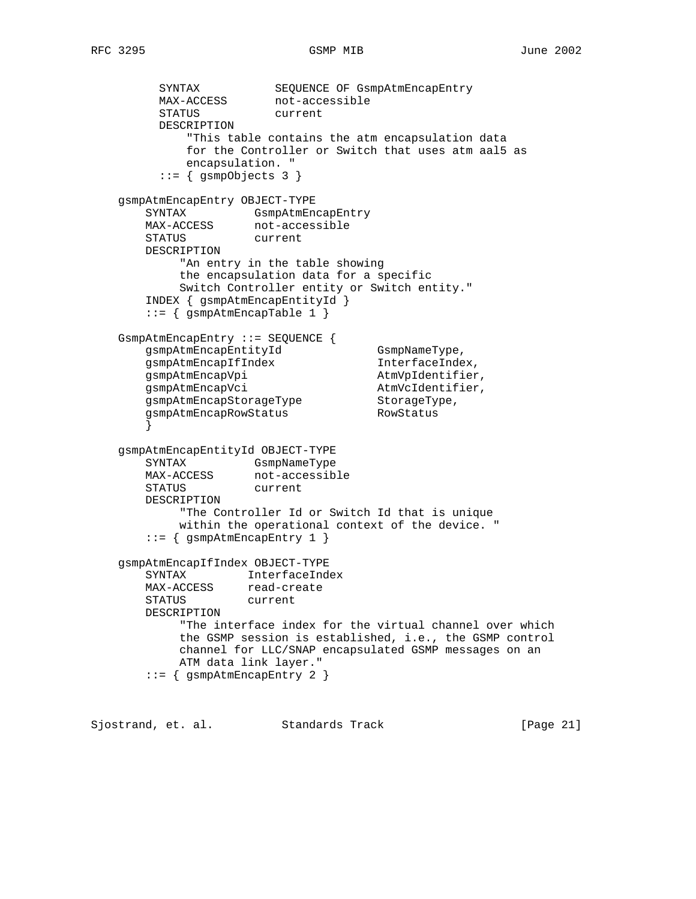```
SYNTAX SEQUENCE OF GsmpAtmEncapEntry
MAX-ACCESS not-accessible
 STATUS current
         DESCRIPTION
             "This table contains the atm encapsulation data
             for the Controller or Switch that uses atm aal5 as
             encapsulation. "
         ::= { gsmpObjects 3 }
    gsmpAtmEncapEntry OBJECT-TYPE
SYNTAX GsmpAtmEncapEntry
MAX-ACCESS not-accessible
      MAX-ACCESS not-acce<br>STATUS current
       DESCRIPTION
            "An entry in the table showing
            the encapsulation data for a specific
            Switch Controller entity or Switch entity."
        INDEX { gsmpAtmEncapEntityId }
        ::= { gsmpAtmEncapTable 1 }
    GsmpAtmEncapEntry ::= SEQUENCE {
gsmpAtmEncapEntityId GsmpNameType,
gsmpAtmEncapIfIndex InterfaceIndex,
gsmpAtmEncapVpi and atmVpIdentifier,
gsmpAtmEncapVci and atmVcIdentifier,
gsmpAtmEncapStorageType StorageType,
gsmpAtmEncapRowStatus RowStatus
 }
    gsmpAtmEncapEntityId OBJECT-TYPE
      SYNTAX GsmpNameType<br>MAX-ACCESS not-accessib
                   not-accessible
       STATUS current
       DESCRIPTION
            "The Controller Id or Switch Id that is unique
            within the operational context of the device. "
        ::= { gsmpAtmEncapEntry 1 }
    gsmpAtmEncapIfIndex OBJECT-TYPE
       SYNTAX InterfaceIndex
MAX-ACCESS read-create
 STATUS current
       DESCRIPTION
            "The interface index for the virtual channel over which
            the GSMP session is established, i.e., the GSMP control
            channel for LLC/SNAP encapsulated GSMP messages on an
            ATM data link layer."
        ::= { gsmpAtmEncapEntry 2 }
```
Sjostrand, et. al. Standards Track [Page 21]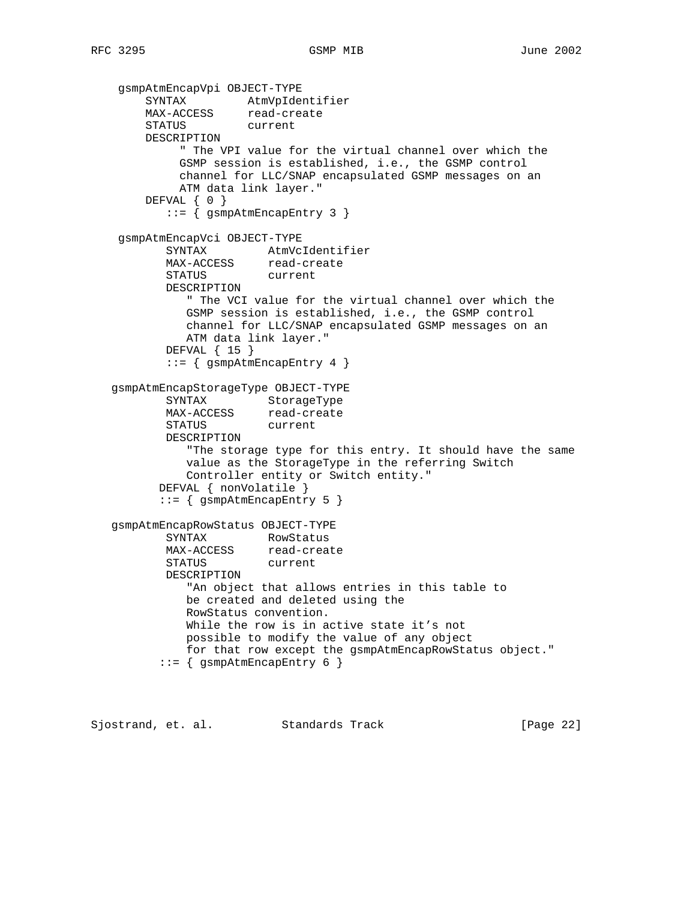```
 gsmpAtmEncapVpi OBJECT-TYPE
 SYNTAX AtmVpIdentifier
MAX-ACCESS read-create
       STATUS current
       DESCRIPTION
            " The VPI value for the virtual channel over which the
            GSMP session is established, i.e., the GSMP control
            channel for LLC/SNAP encapsulated GSMP messages on an
            ATM data link layer."
      DEFVAL { 0 }
          ::= { gsmpAtmEncapEntry 3 }
    gsmpAtmEncapVci OBJECT-TYPE
 SYNTAX AtmVcIdentifier
MAX-ACCESS read-create
 STATUS current
          DESCRIPTION
             " The VCI value for the virtual channel over which the
             GSMP session is established, i.e., the GSMP control
             channel for LLC/SNAP encapsulated GSMP messages on an
             ATM data link layer."
          DEFVAL { 15 }
         ::= { gsmpAtmEncapEntry 4 }
   gsmpAtmEncapStorageType OBJECT-TYPE
SYNTAX StorageType
MAX-ACCESS read-create
 STATUS current
          DESCRIPTION
             "The storage type for this entry. It should have the same
             value as the StorageType in the referring Switch
             Controller entity or Switch entity."
         DEFVAL { nonVolatile }
         ::= { qsmphAtmEncapEntry 5 }
   gsmpAtmEncapRowStatus OBJECT-TYPE
SYNTAX RowStatus
MAX-ACCESS read-create
 STATUS current
          DESCRIPTION
             "An object that allows entries in this table to
             be created and deleted using the
             RowStatus convention.
            While the row is in active state it's not
             possible to modify the value of any object
             for that row except the gsmpAtmEncapRowStatus object."
         ::= { gsmpAtmEncapEntry 6 }
```
Sjostrand, et. al. Standards Track [Page 22]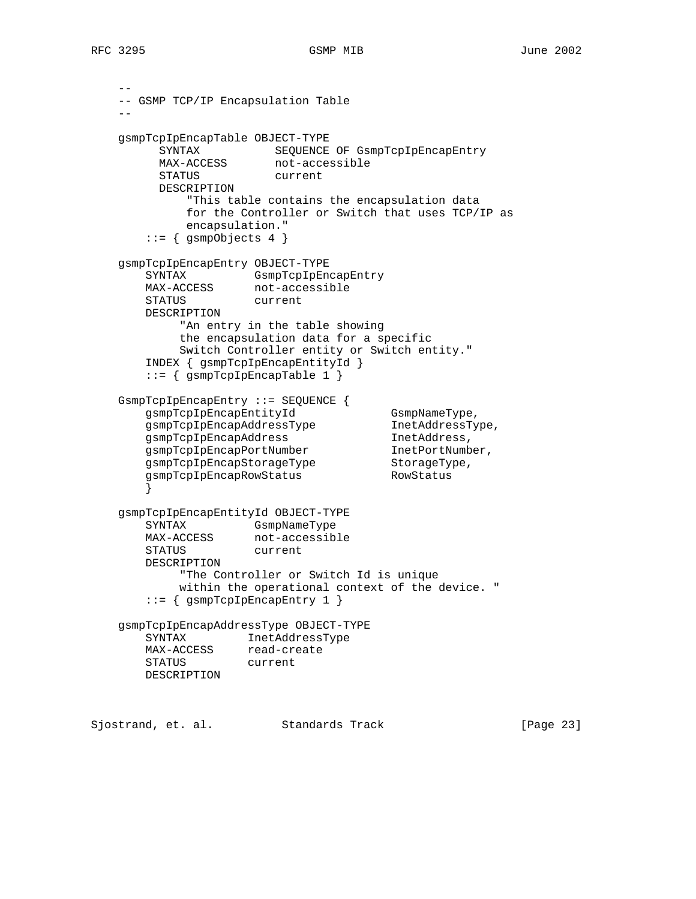RFC 3295 GSMP MIB June 2002

```
 --
    -- GSMP TCP/IP Encapsulation Table
 --
    gsmpTcpIpEncapTable OBJECT-TYPE
 SYNTAX SEQUENCE OF GsmpTcpIpEncapEntry
MAX-ACCESS not-accessible
        STATUS current
         DESCRIPTION
            "This table contains the encapsulation data
            for the Controller or Switch that uses TCP/IP as
            encapsulation."
       ::= { gsmpObjects 4 }
    gsmpTcpIpEncapEntry OBJECT-TYPE
 SYNTAX GsmpTcpIpEncapEntry
MAX-ACCESS not-accessible
 STATUS current
       DESCRIPTION
           "An entry in the table showing
           the encapsulation data for a specific
           Switch Controller entity or Switch entity."
       INDEX { gsmpTcpIpEncapEntityId }
       ::= { gsmpTcpIpEncapTable 1 }
 GsmpTcpIpEncapEntry ::= SEQUENCE {
gsmpTcpIpEncapEntityId GsmpNameType,
 gsmpTcpIpEncapAddressType InetAddressType,
gsmpTcpIpEncapAddress inetAddress,
 gsmpTcpIpEncapPortNumber InetPortNumber,
gsmpTcpIpEncapStorageType StorageType,
 gsmpTcpIpEncapRowStatus RowStatus
 }
    gsmpTcpIpEncapEntityId OBJECT-TYPE
       SYNTAX GsmpNameType
MAX-ACCESS not-accessible
 STATUS current
       DESCRIPTION
           "The Controller or Switch Id is unique
           within the operational context of the device. "
       ::= { gsmpTcpIpEncapEntry 1 }
    gsmpTcpIpEncapAddressType OBJECT-TYPE
       SYNTAX InetAddressType
MAX-ACCESS read-create
 STATUS current
       DESCRIPTION
Sjostrand, et. al. Standards Track [Page 23]
```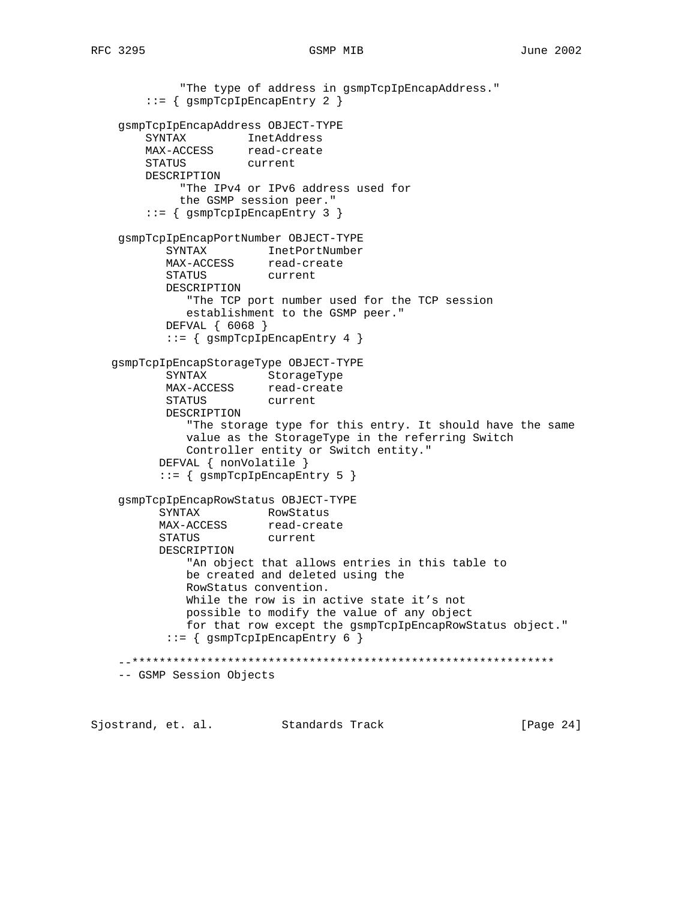"The type of address in gsmpTcpIpEncapAddress." ::= { gsmpTcpIpEncapEntry 2 } gsmpTcpIpEncapAddress OBJECT-TYPE SYNTAX InetAddress MAX-ACCESS read-create STATUS current DESCRIPTION "The IPv4 or IPv6 address used for the GSMP session peer." ::= { gsmpTcpIpEncapEntry 3 } gsmpTcpIpEncapPortNumber OBJECT-TYPE SYNTAX InetPortNumber MAX-ACCESS read-create STATUS current DESCRIPTION "The TCP port number used for the TCP session establishment to the GSMP peer." DEFVAL { 6068 } ::= { gsmpTcpIpEncapEntry 4 } gsmpTcpIpEncapStorageType OBJECT-TYPE SYNTAX StorageType MAX-ACCESS read-create STATUS current DESCRIPTION "The storage type for this entry. It should have the same value as the StorageType in the referring Switch Controller entity or Switch entity." DEFVAL { nonVolatile } ::= { gsmpTcpIpEncapEntry 5 } gsmpTcpIpEncapRowStatus OBJECT-TYPE SYNTAX RowStatus MAX-ACCESS read-create STATUS current DESCRIPTION "An object that allows entries in this table to be created and deleted using the RowStatus convention. While the row is in active state it's not possible to modify the value of any object for that row except the gsmpTcpIpEncapRowStatus object." ::= { gsmpTcpIpEncapEntry 6 } --\*\*\*\*\*\*\*\*\*\*\*\*\*\*\*\*\*\*\*\*\*\*\*\*\*\*\*\*\*\*\*\*\*\*\*\*\*\*\*\*\*\*\*\*\*\*\*\*\*\*\*\*\*\*\*\*\*\*\*\*\*\* -- GSMP Session Objects

Sjostrand, et. al. Standards Track [Page 24]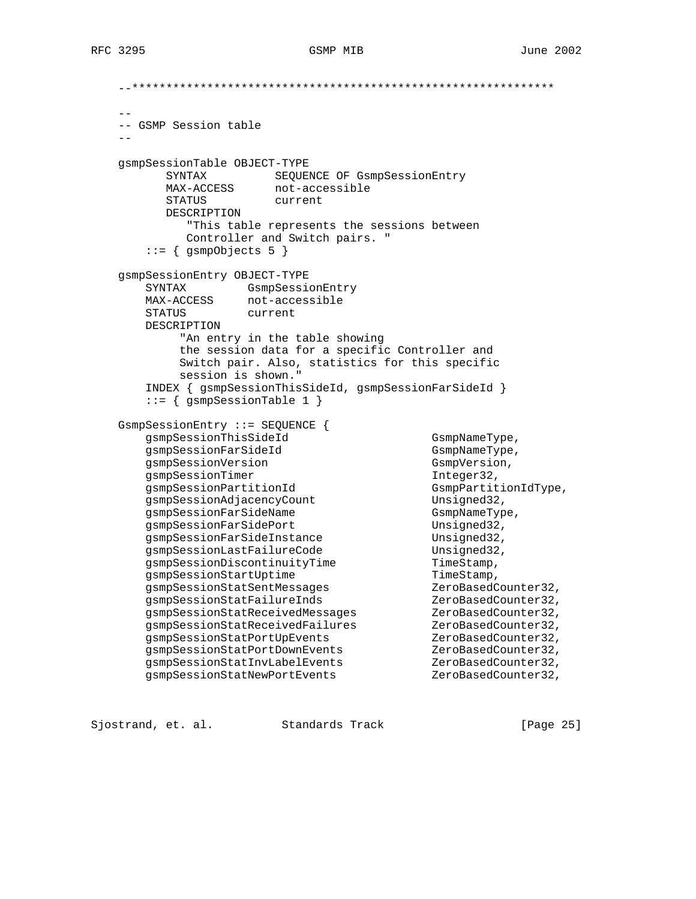```
 --**************************************************************
 --
    -- GSMP Session table
 --
    gsmpSessionTable OBJECT-TYPE
 SYNTAX SEQUENCE OF GsmpSessionEntry
 MAX-ACCESS not-accessible
         STATUS current
         DESCRIPTION
            "This table represents the sessions between
            Controller and Switch pairs. "
      ::= { gsmpObjects 5 }
    gsmpSessionEntry OBJECT-TYPE
       SYNTAX GsmpSessionEntry
 MAX-ACCESS not-accessible
 STATUS current
       DESCRIPTION
           "An entry in the table showing
           the session data for a specific Controller and
           Switch pair. Also, statistics for this specific
           session is shown."
       INDEX { gsmpSessionThisSideId, gsmpSessionFarSideId }
       ::= { gsmpSessionTable 1 }
    GsmpSessionEntry ::= SEQUENCE {
      gsmpSessionThisSideId<br>qsmpSessionFarSideId GsmpNameType,
      gsmpSessionFarSideId
      gsmpSessionVersion GsmpVersion,
      gsmpSessionTimer 1nteger32,
      gsmpSessionPartitionId GsmpPartitionIdType,
      gsmpSessionAdjacencyCount Unsigned32,
      gsmpSessionFarSideName GsmpNameType,
      gsmpSessionFarSidePort Unsigned32,
      gsmpSessionFarSideInstance Unsigned32,
      gsmpSessionLastFailureCode Unsigned32,
      gsmpSessionDiscontinuityTime TimeStamp,
gsmpSessionStartUptime TimeStamp,
 gsmpSessionStatSentMessages ZeroBasedCounter32,
 gsmpSessionStatFailureInds ZeroBasedCounter32,
gsmpSessionStatReceivedMessages                ZeroBasedCounter32,
 gsmpSessionStatReceivedFailures ZeroBasedCounter32,
 gsmpSessionStatPortUpEvents ZeroBasedCounter32,
 gsmpSessionStatPortDownEvents ZeroBasedCounter32,
 gsmpSessionStatInvLabelEvents ZeroBasedCounter32,
 gsmpSessionStatNewPortEvents ZeroBasedCounter32,
```
Sjostrand, et. al. Standards Track [Page 25]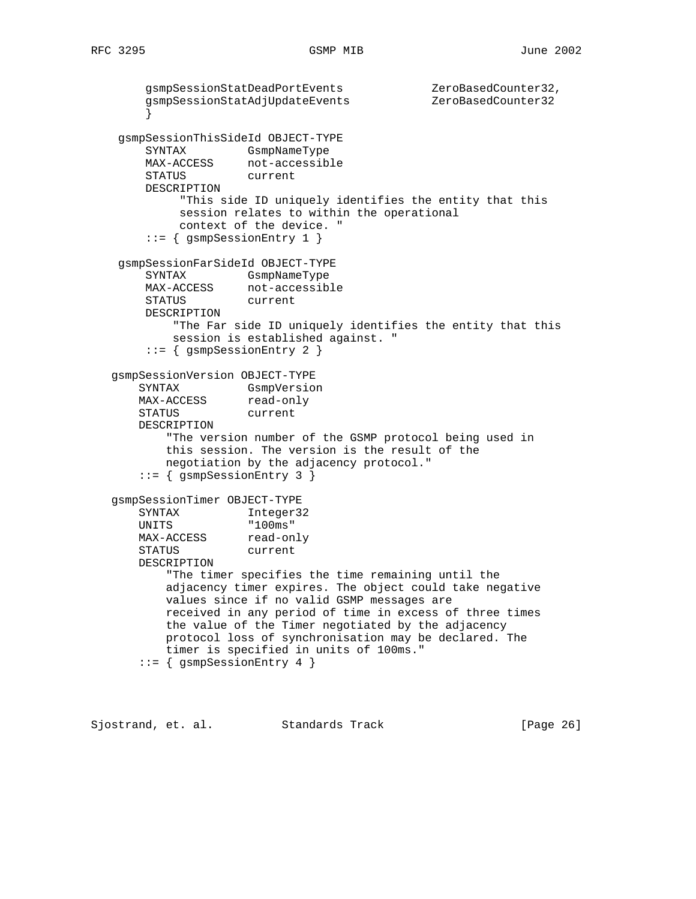```
 gsmpSessionStatDeadPortEvents ZeroBasedCounter32,
       gsmpSessionStatAdjUpdateEvents
 }
    gsmpSessionThisSideId OBJECT-TYPE
       SYNTAX GsmpNameType
      MAX-ACCESS not-accessible
       STATUS current
       DESCRIPTION
            "This side ID uniquely identifies the entity that this
            session relates to within the operational
            context of the device. "
        ::= { gsmpSessionEntry 1 }
    gsmpSessionFarSideId OBJECT-TYPE
        SYNTAX GsmpNameType
 MAX-ACCESS not-accessible
 STATUS current
       DESCRIPTION
           "The Far side ID uniquely identifies the entity that this
           session is established against. "
        ::= { gsmpSessionEntry 2 }
   gsmpSessionVersion OBJECT-TYPE
 SYNTAX GsmpVersion
MAX-ACCESS read-only
       STATUS current
       DESCRIPTION
           "The version number of the GSMP protocol being used in
          this session. The version is the result of the
          negotiation by the adjacency protocol."
       ::= { gsmpSessionEntry 3 }
   gsmpSessionTimer OBJECT-TYPE
     SYNTAX Integer32
 UNITS "100ms"
MAX-ACCESS read-only
 STATUS current
       DESCRIPTION
          "The timer specifies the time remaining until the
          adjacency timer expires. The object could take negative
          values since if no valid GSMP messages are
          received in any period of time in excess of three times
          the value of the Timer negotiated by the adjacency
          protocol loss of synchronisation may be declared. The
          timer is specified in units of 100ms."
       ::= { gsmpSessionEntry 4 }
```
Sjostrand, et. al. Standards Track [Page 26]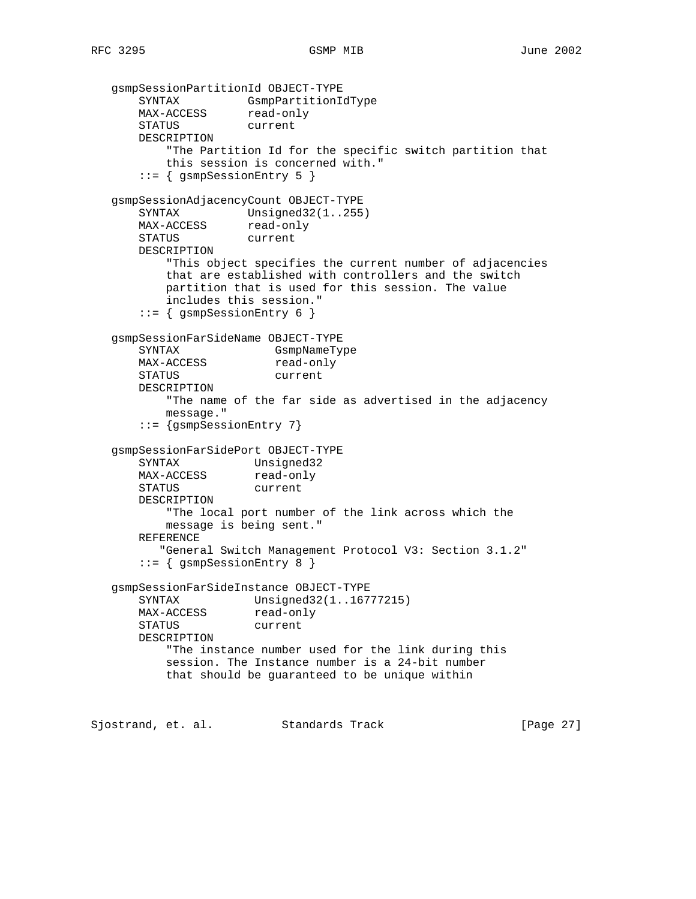```
 gsmpSessionPartitionId OBJECT-TYPE
 SYNTAX GsmpPartitionIdType
MAX-ACCESS read-only
       STATUS current
       DESCRIPTION
           "The Partition Id for the specific switch partition that
          this session is concerned with."
       ::= { gsmpSessionEntry 5 }
   gsmpSessionAdjacencyCount OBJECT-TYPE
SYNTAX Unsigned32(1..255)
MAX-ACCESS read-only
 STATUS current
       DESCRIPTION
          "This object specifies the current number of adjacencies
          that are established with controllers and the switch
          partition that is used for this session. The value
          includes this session."
       ::= { gsmpSessionEntry 6 }
   gsmpSessionFarSideName OBJECT-TYPE
       SYNTAX GsmpNameType
      MAX-ACCESS read-only
       STATUS current
       DESCRIPTION
          "The name of the far side as advertised in the adjacency
          message."
       ::= {gsmpSessionEntry 7}
   gsmpSessionFarSidePort OBJECT-TYPE
 SYNTAX Unsigned32
MAX-ACCESS read-only
       STATUS current
       DESCRIPTION
          "The local port number of the link across which the
          message is being sent."
       REFERENCE
         "General Switch Management Protocol V3: Section 3.1.2"
       ::= { gsmpSessionEntry 8 }
   gsmpSessionFarSideInstance OBJECT-TYPE
       SYNTAX Unsigned32(1..16777215)
MAX-ACCESS read-only
 STATUS current
       DESCRIPTION
          "The instance number used for the link during this
          session. The Instance number is a 24-bit number
          that should be guaranteed to be unique within
Sjostrand, et. al. Standards Track [Page 27]
```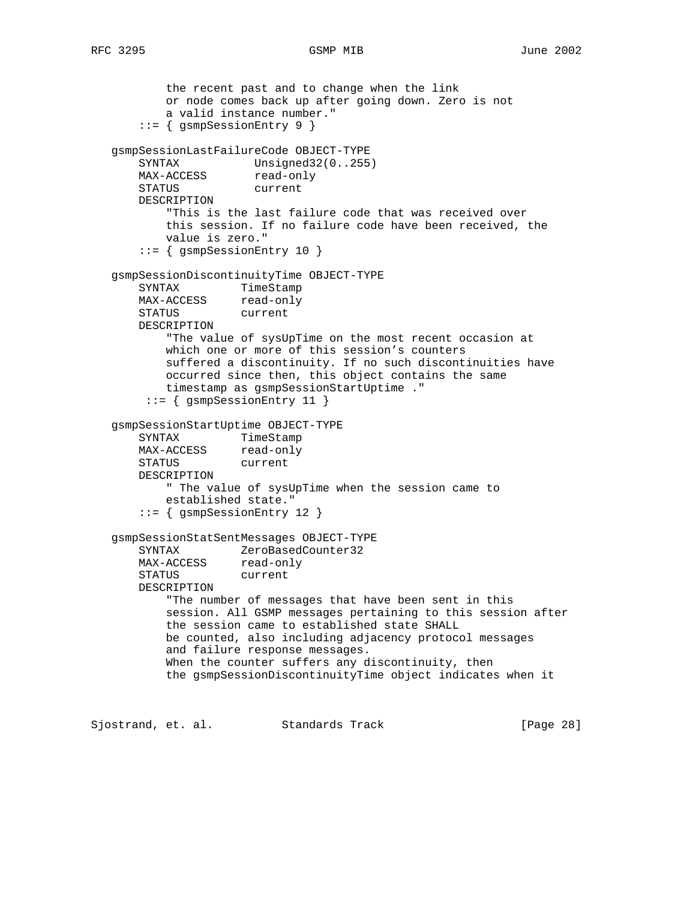```
 the recent past and to change when the link
           or node comes back up after going down. Zero is not
           a valid instance number."
       ::= { gsmpSessionEntry 9 }
   gsmpSessionLastFailureCode OBJECT-TYPE
      SYNTAX Unsigned32(0..255)
      MAX-ACCESS read-only
       STATUS current
       DESCRIPTION
           "This is the last failure code that was received over
           this session. If no failure code have been received, the
           value is zero."
       ::= { gsmpSessionEntry 10 }
   gsmpSessionDiscontinuityTime OBJECT-TYPE
       SYNTAX TimeStamp
      MAX-ACCESS read-only
       STATUS current
       DESCRIPTION
           "The value of sysUpTime on the most recent occasion at
           which one or more of this session's counters
           suffered a discontinuity. If no such discontinuities have
           occurred since then, this object contains the same
           timestamp as gsmpSessionStartUptime ."
        ::= { gsmpSessionEntry 11 }
   gsmpSessionStartUptime OBJECT-TYPE
      SYNTAX TimeStamp<br>MAX-ACCESS read-only
      MAX-ACCESS
       STATUS current
       DESCRIPTION
           " The value of sysUpTime when the session came to
           established state."
       ::= { gsmpSessionEntry 12 }
   gsmpSessionStatSentMessages OBJECT-TYPE
       SYNTAX ZeroBasedCounter32
 MAX-ACCESS read-only
 STATUS current
       DESCRIPTION
           "The number of messages that have been sent in this
           session. All GSMP messages pertaining to this session after
           the session came to established state SHALL
           be counted, also including adjacency protocol messages
           and failure response messages.
           When the counter suffers any discontinuity, then
           the gsmpSessionDiscontinuityTime object indicates when it
```
Sjostrand, et. al. Standards Track [Page 28]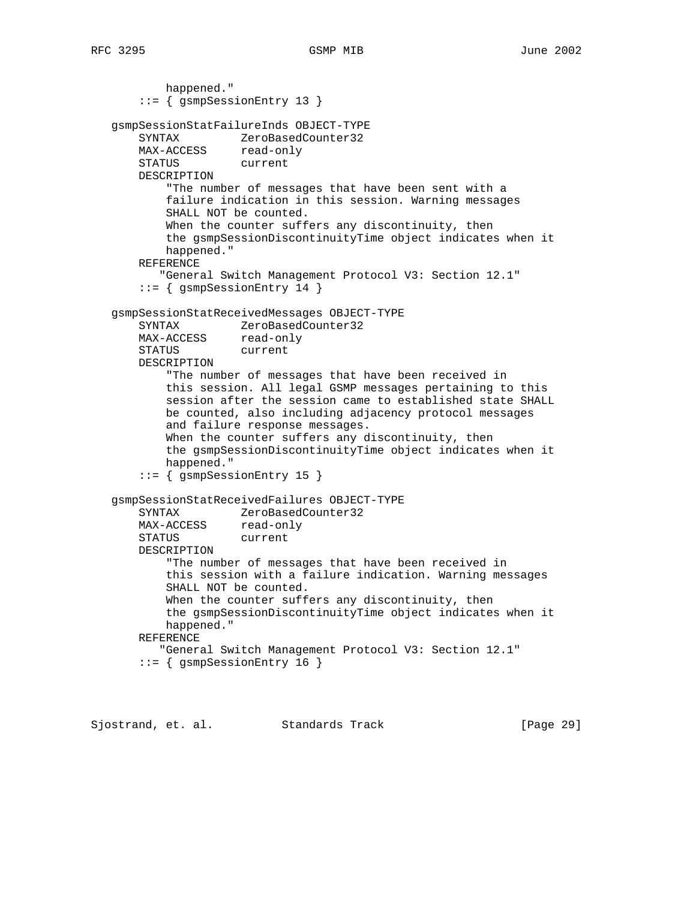happened." ::= { gsmpSessionEntry 13 } gsmpSessionStatFailureInds OBJECT-TYPE SYNTAX ZeroBasedCounter32 MAX-ACCESS read-only STATUS current DESCRIPTION "The number of messages that have been sent with a failure indication in this session. Warning messages SHALL NOT be counted. When the counter suffers any discontinuity, then the gsmpSessionDiscontinuityTime object indicates when it happened." REFERENCE "General Switch Management Protocol V3: Section 12.1" ::= { gsmpSessionEntry 14 } gsmpSessionStatReceivedMessages OBJECT-TYPE SYNTAX ZeroBasedCounter32 MAX-ACCESS read-only STATUS current DESCRIPTION "The number of messages that have been received in this session. All legal GSMP messages pertaining to this session after the session came to established state SHALL be counted, also including adjacency protocol messages and failure response messages. When the counter suffers any discontinuity, then the gsmpSessionDiscontinuityTime object indicates when it happened." ::= { gsmpSessionEntry 15 } gsmpSessionStatReceivedFailures OBJECT-TYPE SYNTAX ZeroBasedCounter32 MAX-ACCESS read-only STATUS current DESCRIPTION "The number of messages that have been received in this session with a failure indication. Warning messages SHALL NOT be counted. When the counter suffers any discontinuity, then the gsmpSessionDiscontinuityTime object indicates when it happened." REFERENCE "General Switch Management Protocol V3: Section 12.1" ::= { gsmpSessionEntry 16 }

Sjostrand, et. al. Standards Track [Page 29]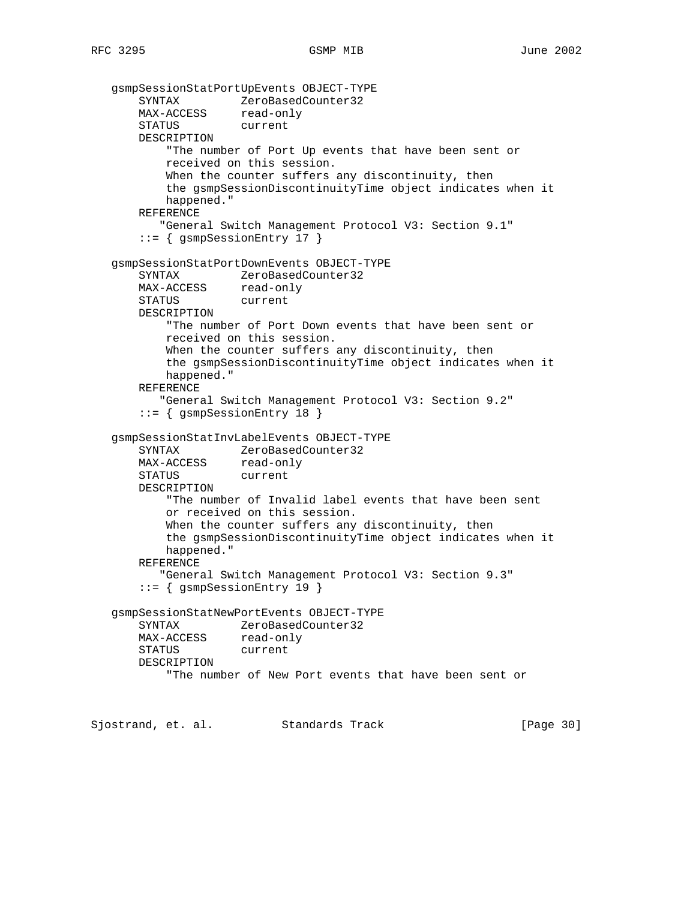```
 gsmpSessionStatPortUpEvents OBJECT-TYPE
 SYNTAX ZeroBasedCounter32
 MAX-ACCESS read-only
       STATUS current
       DESCRIPTION
           "The number of Port Up events that have been sent or
           received on this session.
          When the counter suffers any discontinuity, then
           the gsmpSessionDiscontinuityTime object indicates when it
           happened."
       REFERENCE
          "General Switch Management Protocol V3: Section 9.1"
       ::= { gsmpSessionEntry 17 }
   gsmpSessionStatPortDownEvents OBJECT-TYPE
       SYNTAX ZeroBasedCounter32
      MAX-ACCESS read-only<br>STATUS current
      STATUS
       DESCRIPTION
           "The number of Port Down events that have been sent or
           received on this session.
          When the counter suffers any discontinuity, then
           the gsmpSessionDiscontinuityTime object indicates when it
           happened."
       REFERENCE
          "General Switch Management Protocol V3: Section 9.2"
       ::= { gsmpSessionEntry 18 }
   gsmpSessionStatInvLabelEvents OBJECT-TYPE
       SYNTAX ZeroBasedCounter32
      MAX-ACCESS read-only
       STATUS current
       DESCRIPTION
           "The number of Invalid label events that have been sent
           or received on this session.
          When the counter suffers any discontinuity, then
           the gsmpSessionDiscontinuityTime object indicates when it
           happened."
       REFERENCE
          "General Switch Management Protocol V3: Section 9.3"
       ::= { gsmpSessionEntry 19 }
   gsmpSessionStatNewPortEvents OBJECT-TYPE
       SYNTAX ZeroBasedCounter32
      MAX-ACCESS read-only
       STATUS current
       DESCRIPTION
           "The number of New Port events that have been sent or
Sjostrand, et. al. Standards Track [Page 30]
```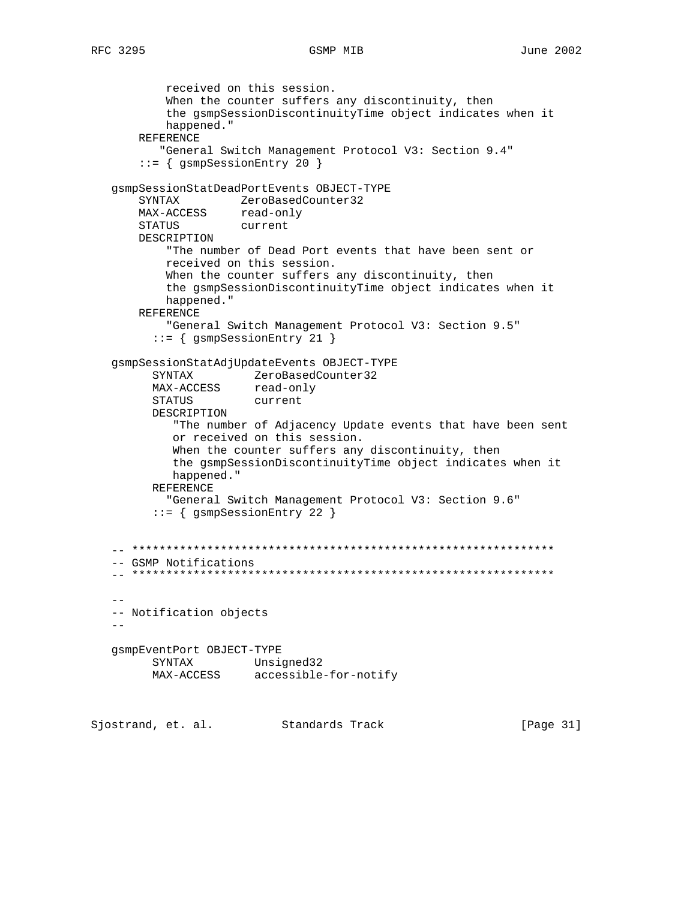```
 received on this session.
          When the counter suffers any discontinuity, then
           the gsmpSessionDiscontinuityTime object indicates when it
           happened."
       REFERENCE
          "General Switch Management Protocol V3: Section 9.4"
       ::= { gsmpSessionEntry 20 }
   gsmpSessionStatDeadPortEvents OBJECT-TYPE
       SYNTAX ZeroBasedCounter32
MAX-ACCESS read-only
 STATUS current
       DESCRIPTION
           "The number of Dead Port events that have been sent or
           received on this session.
          When the counter suffers any discontinuity, then
           the gsmpSessionDiscontinuityTime object indicates when it
           happened."
       REFERENCE
           "General Switch Management Protocol V3: Section 9.5"
         ::= { gsmpSessionEntry 21 }
   gsmpSessionStatAdjUpdateEvents OBJECT-TYPE
 SYNTAX ZeroBasedCounter32
MAX-ACCESS read-only
        STATUS current
         DESCRIPTION
            "The number of Adjacency Update events that have been sent
            or received on this session.
           When the counter suffers any discontinuity, then
            the gsmpSessionDiscontinuityTime object indicates when it
            happened."
         REFERENCE
           "General Switch Management Protocol V3: Section 9.6"
         ::= { gsmpSessionEntry 22 }
   -- **************************************************************
   -- GSMP Notifications
   -- **************************************************************
- -- Notification objects
  - - gsmpEventPort OBJECT-TYPE
 SYNTAX Unsigned32
 MAX-ACCESS accessible-for-notify
```
Sjostrand, et. al. Standards Track [Page 31]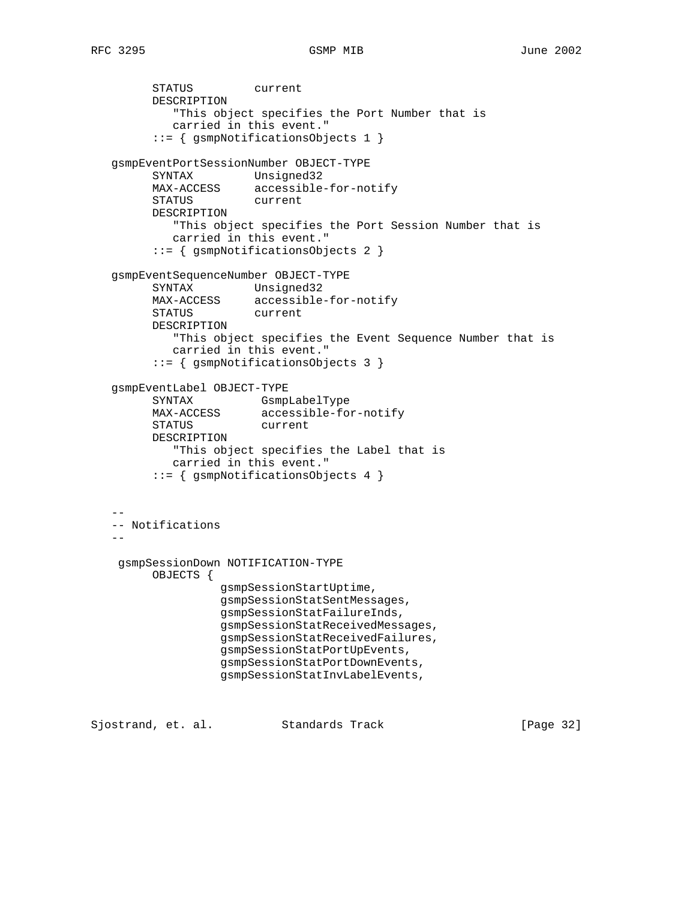```
 STATUS current
         DESCRIPTION
            "This object specifies the Port Number that is
            carried in this event."
         ::= { gsmpNotificationsObjects 1 }
   gsmpEventPortSessionNumber OBJECT-TYPE
 SYNTAX Unsigned32
 MAX-ACCESS accessible-for-notify
 STATUS current
         DESCRIPTION
            "This object specifies the Port Session Number that is
            carried in this event."
         ::= { gsmpNotificationsObjects 2 }
   gsmpEventSequenceNumber OBJECT-TYPE
         SYNTAX Unsigned32
 MAX-ACCESS accessible-for-notify
 STATUS current
         DESCRIPTION
            "This object specifies the Event Sequence Number that is
            carried in this event."
         ::= { gsmpNotificationsObjects 3 }
   gsmpEventLabel OBJECT-TYPE
         SYNTAX GsmpLabelType
         MAX-ACCESS accessible-for-notify
        STATUS
         DESCRIPTION
            "This object specifies the Label that is
           carried in this event."
         ::= { gsmpNotificationsObjects 4 }
 --
   -- Notifications
 --
    gsmpSessionDown NOTIFICATION-TYPE
         OBJECTS {
                  gsmpSessionStartUptime,
                  gsmpSessionStatSentMessages,
                  gsmpSessionStatFailureInds,
                  gsmpSessionStatReceivedMessages,
                  gsmpSessionStatReceivedFailures,
                  gsmpSessionStatPortUpEvents,
                  gsmpSessionStatPortDownEvents,
                  gsmpSessionStatInvLabelEvents,
```
Sjostrand, et. al. Standards Track [Page 32]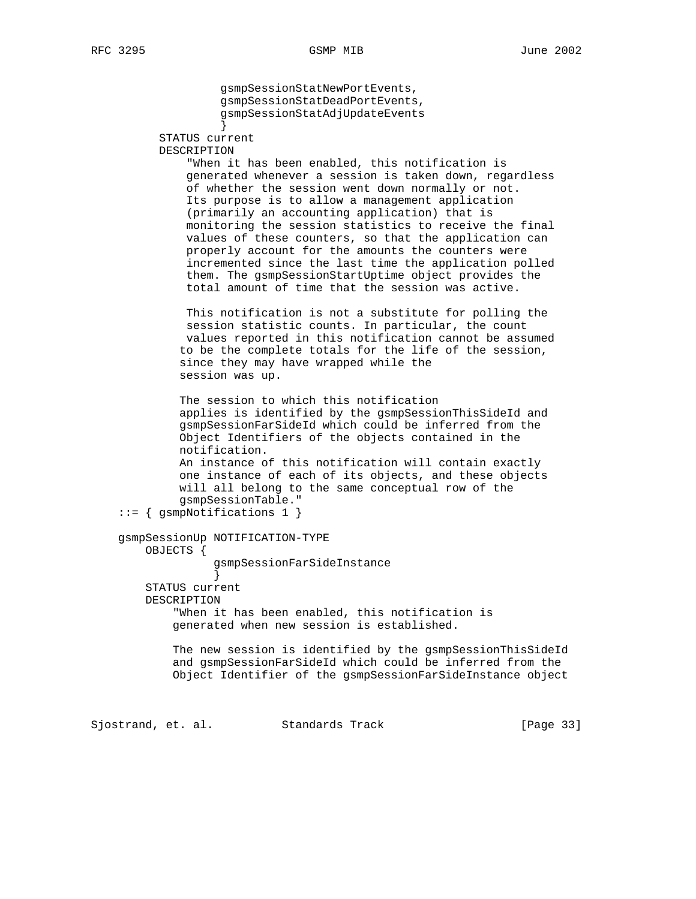gsmpSessionStatNewPortEvents, gsmpSessionStatDeadPortEvents, gsmpSessionStatAdjUpdateEvents } STATUS current DESCRIPTION "When it has been enabled, this notification is generated whenever a session is taken down, regardless of whether the session went down normally or not. Its purpose is to allow a management application (primarily an accounting application) that is monitoring the session statistics to receive the final values of these counters, so that the application can properly account for the amounts the counters were incremented since the last time the application polled them. The gsmpSessionStartUptime object provides the total amount of time that the session was active. This notification is not a substitute for polling the session statistic counts. In particular, the count values reported in this notification cannot be assumed to be the complete totals for the life of the session, since they may have wrapped while the session was up. The session to which this notification applies is identified by the gsmpSessionThisSideId and gsmpSessionFarSideId which could be inferred from the Object Identifiers of the objects contained in the notification. An instance of this notification will contain exactly one instance of each of its objects, and these objects will all belong to the same conceptual row of the gsmpSessionTable." ::= { gsmpNotifications 1 } gsmpSessionUp NOTIFICATION-TYPE OBJECTS { gsmpSessionFarSideInstance } STATUS current DESCRIPTION "When it has been enabled, this notification is generated when new session is established. The new session is identified by the gsmpSessionThisSideId and gsmpSessionFarSideId which could be inferred from the Object Identifier of the gsmpSessionFarSideInstance object

Sjostrand, et. al. Standards Track [Page 33]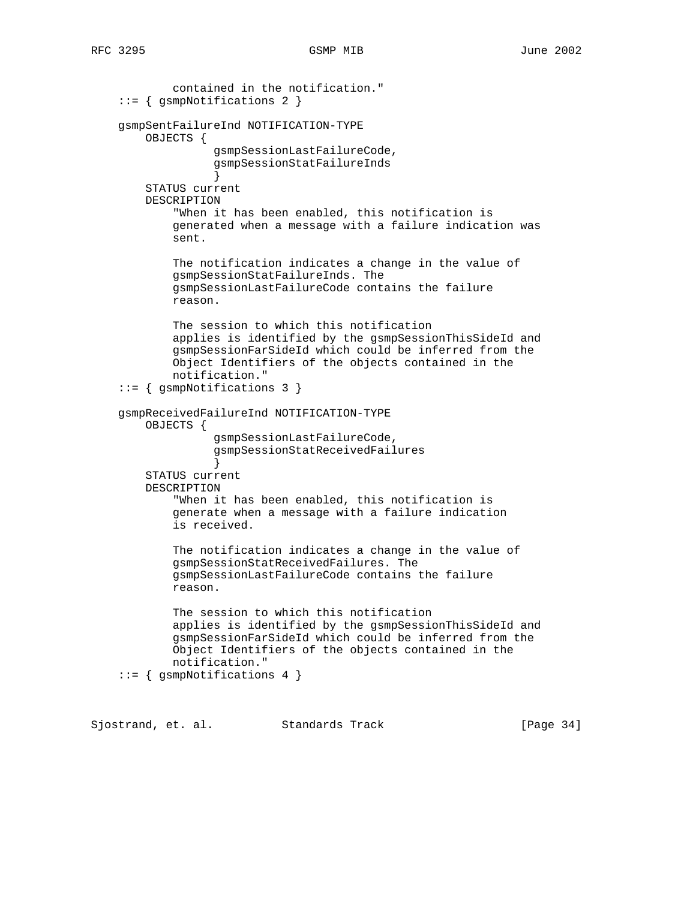```
 contained in the notification."
     ::= { gsmpNotifications 2 }
     gsmpSentFailureInd NOTIFICATION-TYPE
        OBJECTS {
                   gsmpSessionLastFailureCode,
                   gsmpSessionStatFailureInds
 }
        STATUS current
        DESCRIPTION
             "When it has been enabled, this notification is
            generated when a message with a failure indication was
            sent.
            The notification indicates a change in the value of
            gsmpSessionStatFailureInds. The
            gsmpSessionLastFailureCode contains the failure
            reason.
            The session to which this notification
            applies is identified by the gsmpSessionThisSideId and
            gsmpSessionFarSideId which could be inferred from the
            Object Identifiers of the objects contained in the
            notification."
     ::= { gsmpNotifications 3 }
     gsmpReceivedFailureInd NOTIFICATION-TYPE
        OBJECTS {
                   gsmpSessionLastFailureCode,
                   gsmpSessionStatReceivedFailures
 }
        STATUS current
        DESCRIPTION
             "When it has been enabled, this notification is
            generate when a message with a failure indication
            is received.
            The notification indicates a change in the value of
            gsmpSessionStatReceivedFailures. The
            gsmpSessionLastFailureCode contains the failure
            reason.
            The session to which this notification
            applies is identified by the gsmpSessionThisSideId and
            gsmpSessionFarSideId which could be inferred from the
            Object Identifiers of the objects contained in the
            notification."
     ::= { gsmpNotifications 4 }
```
Sjostrand, et. al. Standards Track [Page 34]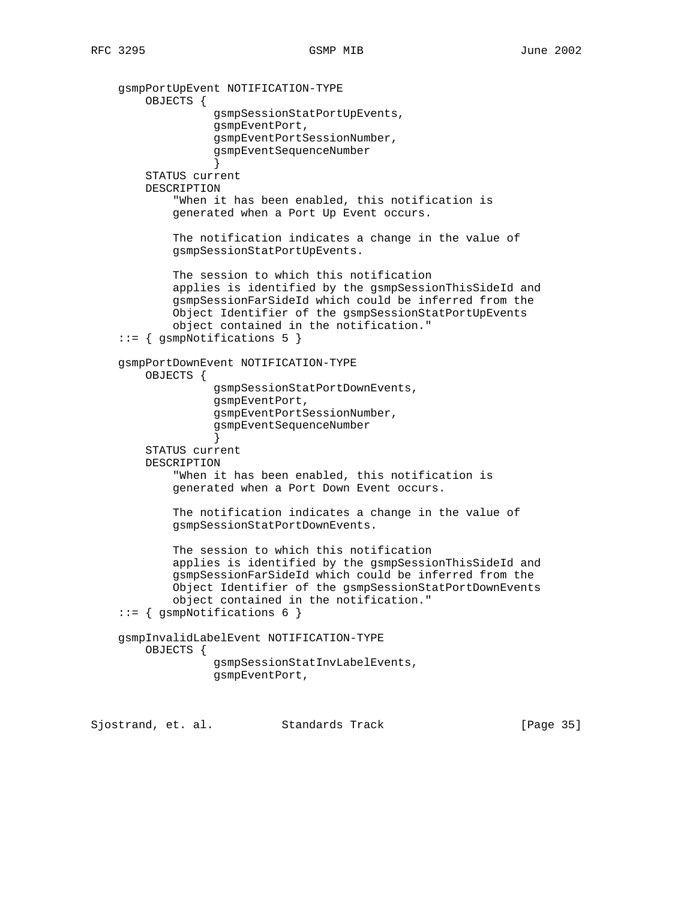gsmpPortUpEvent NOTIFICATION-TYPE OBJECTS { gsmpSessionStatPortUpEvents, gsmpEventPort, gsmpEventPortSessionNumber, gsmpEventSequenceNumber } STATUS current DESCRIPTION "When it has been enabled, this notification is generated when a Port Up Event occurs. The notification indicates a change in the value of gsmpSessionStatPortUpEvents. The session to which this notification applies is identified by the gsmpSessionThisSideId and gsmpSessionFarSideId which could be inferred from the Object Identifier of the gsmpSessionStatPortUpEvents object contained in the notification." ::= { gsmpNotifications 5 } gsmpPortDownEvent NOTIFICATION-TYPE OBJECTS { gsmpSessionStatPortDownEvents, gsmpEventPort, gsmpEventPortSessionNumber, gsmpEventSequenceNumber } STATUS current DESCRIPTION "When it has been enabled, this notification is generated when a Port Down Event occurs. The notification indicates a change in the value of gsmpSessionStatPortDownEvents. The session to which this notification applies is identified by the gsmpSessionThisSideId and gsmpSessionFarSideId which could be inferred from the Object Identifier of the gsmpSessionStatPortDownEvents object contained in the notification." ::= { gsmpNotifications 6 } gsmpInvalidLabelEvent NOTIFICATION-TYPE OBJECTS { gsmpSessionStatInvLabelEvents, gsmpEventPort,

Sjostrand, et. al. Standards Track [Page 35]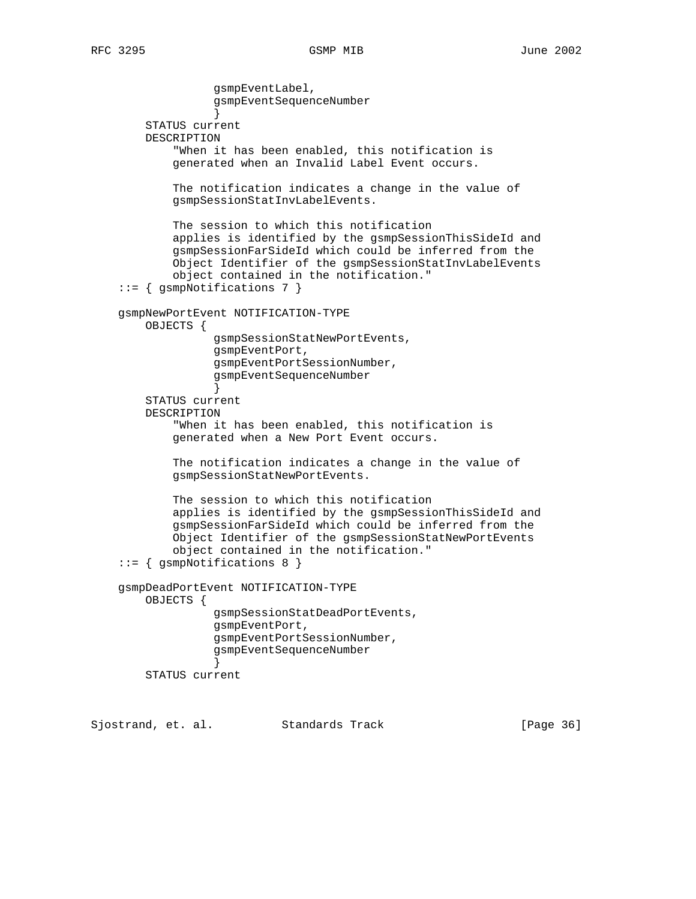gsmpEventLabel, gsmpEventSequenceNumber } STATUS current DESCRIPTION "When it has been enabled, this notification is generated when an Invalid Label Event occurs. The notification indicates a change in the value of gsmpSessionStatInvLabelEvents. The session to which this notification applies is identified by the gsmpSessionThisSideId and gsmpSessionFarSideId which could be inferred from the Object Identifier of the gsmpSessionStatInvLabelEvents object contained in the notification." ::= { gsmpNotifications 7 } gsmpNewPortEvent NOTIFICATION-TYPE OBJECTS { gsmpSessionStatNewPortEvents, gsmpEventPort, gsmpEventPortSessionNumber, gsmpEventSequenceNumber } STATUS current DESCRIPTION "When it has been enabled, this notification is generated when a New Port Event occurs. The notification indicates a change in the value of gsmpSessionStatNewPortEvents. The session to which this notification applies is identified by the gsmpSessionThisSideId and gsmpSessionFarSideId which could be inferred from the Object Identifier of the gsmpSessionStatNewPortEvents object contained in the notification." ::= { gsmpNotifications 8 } gsmpDeadPortEvent NOTIFICATION-TYPE OBJECTS { gsmpSessionStatDeadPortEvents, gsmpEventPort, gsmpEventPortSessionNumber, gsmpEventSequenceNumber } STATUS current

Sjostrand, et. al. Standards Track [Page 36]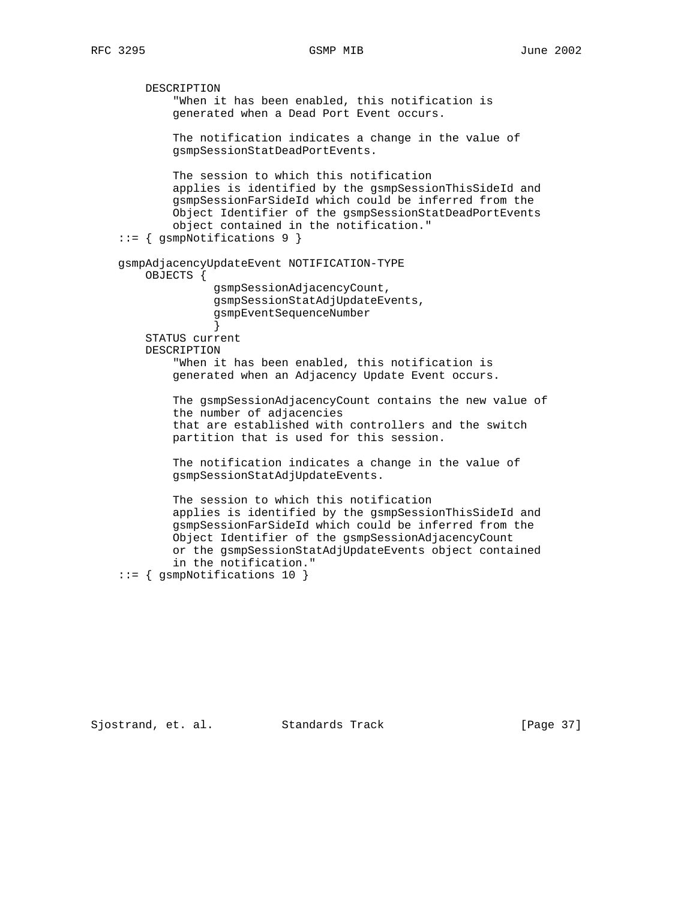```
 DESCRIPTION
             "When it has been enabled, this notification is
             generated when a Dead Port Event occurs.
            The notification indicates a change in the value of
            gsmpSessionStatDeadPortEvents.
            The session to which this notification
            applies is identified by the gsmpSessionThisSideId and
            gsmpSessionFarSideId which could be inferred from the
            Object Identifier of the gsmpSessionStatDeadPortEvents
            object contained in the notification."
     ::= { gsmpNotifications 9 }
    gsmpAdjacencyUpdateEvent NOTIFICATION-TYPE
         OBJECTS {
                  gsmpSessionAdjacencyCount,
                  gsmpSessionStatAdjUpdateEvents,
                   gsmpEventSequenceNumber
 }
        STATUS current
        DESCRIPTION
             "When it has been enabled, this notification is
            generated when an Adjacency Update Event occurs.
            The gsmpSessionAdjacencyCount contains the new value of
             the number of adjacencies
             that are established with controllers and the switch
            partition that is used for this session.
            The notification indicates a change in the value of
            gsmpSessionStatAdjUpdateEvents.
            The session to which this notification
            applies is identified by the gsmpSessionThisSideId and
            gsmpSessionFarSideId which could be inferred from the
            Object Identifier of the gsmpSessionAdjacencyCount
            or the gsmpSessionStatAdjUpdateEvents object contained
             in the notification."
     ::= { gsmpNotifications 10 }
```
Sjostrand, et. al. Standards Track [Page 37]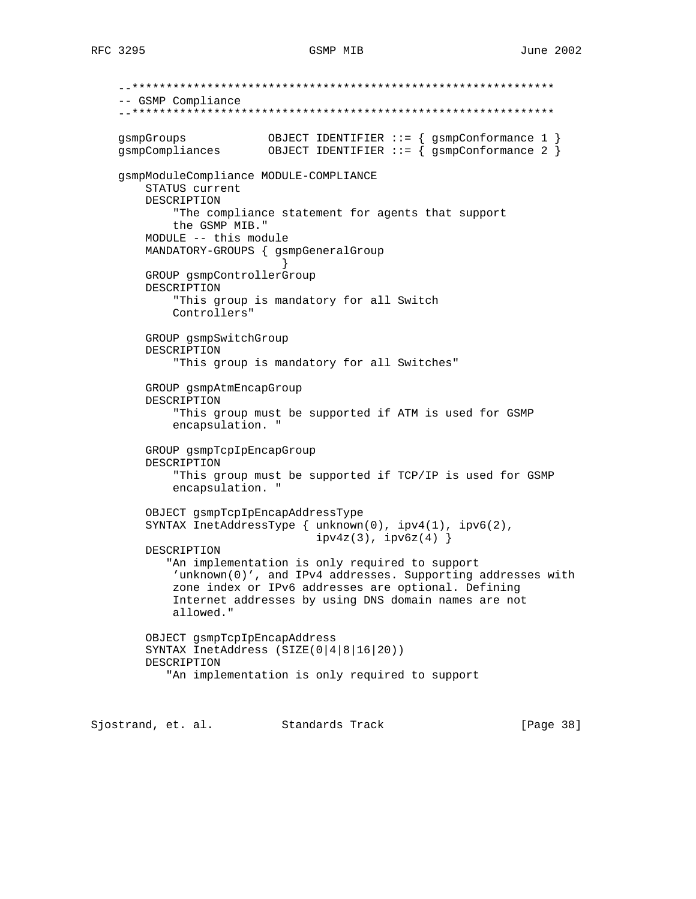```
 --**************************************************************
    -- GSMP Compliance
    --**************************************************************
 gsmpGroups OBJECT IDENTIFIER ::= { gsmpConformance 1 }
 gsmpCompliances OBJECT IDENTIFIER ::= { gsmpConformance 2 }
    gsmpModuleCompliance MODULE-COMPLIANCE
        STATUS current
        DESCRIPTION
            "The compliance statement for agents that support
            the GSMP MIB."
        MODULE -- this module
        MANDATORY-GROUPS { gsmpGeneralGroup
 }
        GROUP gsmpControllerGroup
        DESCRIPTION
            "This group is mandatory for all Switch
            Controllers"
        GROUP gsmpSwitchGroup
        DESCRIPTION
             "This group is mandatory for all Switches"
        GROUP gsmpAtmEncapGroup
        DESCRIPTION
             "This group must be supported if ATM is used for GSMP
            encapsulation. "
        GROUP gsmpTcpIpEncapGroup
        DESCRIPTION
            "This group must be supported if TCP/IP is used for GSMP
            encapsulation. "
        OBJECT gsmpTcpIpEncapAddressType
        SYNTAX InetAddressType { unknown(0), ipv4(1), ipv6(2),
                                 ipv4z(3), ipv6z(4) }
        DESCRIPTION
            "An implementation is only required to support
            'unknown(0)', and IPv4 addresses. Supporting addresses with
            zone index or IPv6 addresses are optional. Defining
            Internet addresses by using DNS domain names are not
            allowed."
        OBJECT gsmpTcpIpEncapAddress
        SYNTAX InetAddress (SIZE(0|4|8|16|20))
        DESCRIPTION
            "An implementation is only required to support
```
Sjostrand, et. al. Standards Track [Page 38]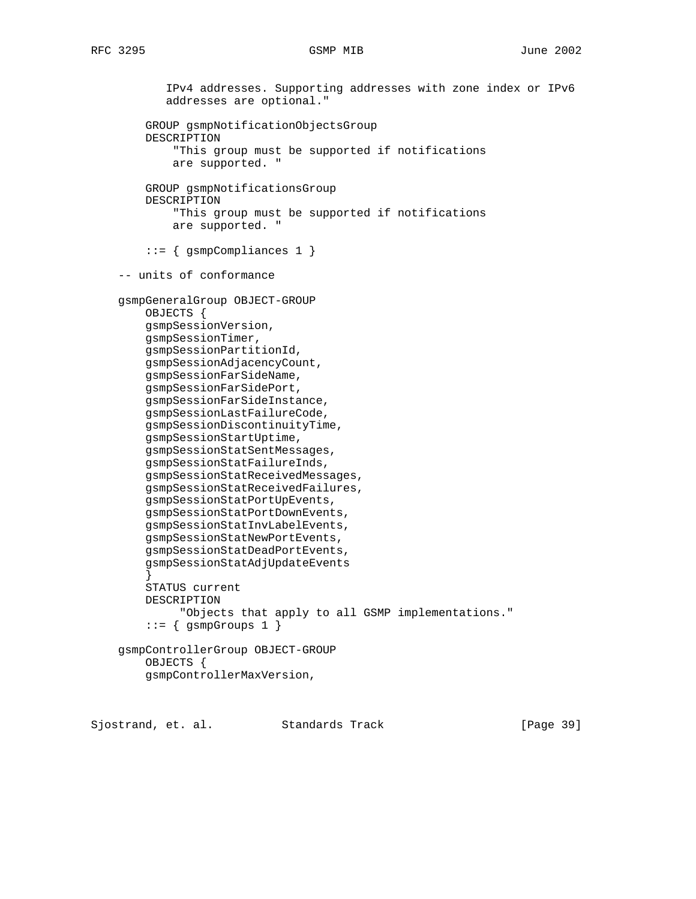```
 IPv4 addresses. Supporting addresses with zone index or IPv6
            addresses are optional."
         GROUP gsmpNotificationObjectsGroup
         DESCRIPTION
             "This group must be supported if notifications
             are supported. "
         GROUP gsmpNotificationsGroup
         DESCRIPTION
             "This group must be supported if notifications
             are supported. "
         ::= { gsmpCompliances 1 }
     -- units of conformance
     gsmpGeneralGroup OBJECT-GROUP
        OBJECTS {
         gsmpSessionVersion,
         gsmpSessionTimer,
         gsmpSessionPartitionId,
        gsmpSessionAdjacencyCount,
        gsmpSessionFarSideName,
         gsmpSessionFarSidePort,
         gsmpSessionFarSideInstance,
         gsmpSessionLastFailureCode,
         gsmpSessionDiscontinuityTime,
         gsmpSessionStartUptime,
         gsmpSessionStatSentMessages,
         gsmpSessionStatFailureInds,
         gsmpSessionStatReceivedMessages,
         gsmpSessionStatReceivedFailures,
         gsmpSessionStatPortUpEvents,
         gsmpSessionStatPortDownEvents,
         gsmpSessionStatInvLabelEvents,
         gsmpSessionStatNewPortEvents,
         gsmpSessionStatDeadPortEvents,
         gsmpSessionStatAdjUpdateEvents
 }
         STATUS current
         DESCRIPTION
              "Objects that apply to all GSMP implementations."
        ::= { gsmpGroups 1 }
     gsmpControllerGroup OBJECT-GROUP
         OBJECTS {
         gsmpControllerMaxVersion,
```
Sjostrand, et. al. Standards Track [Page 39]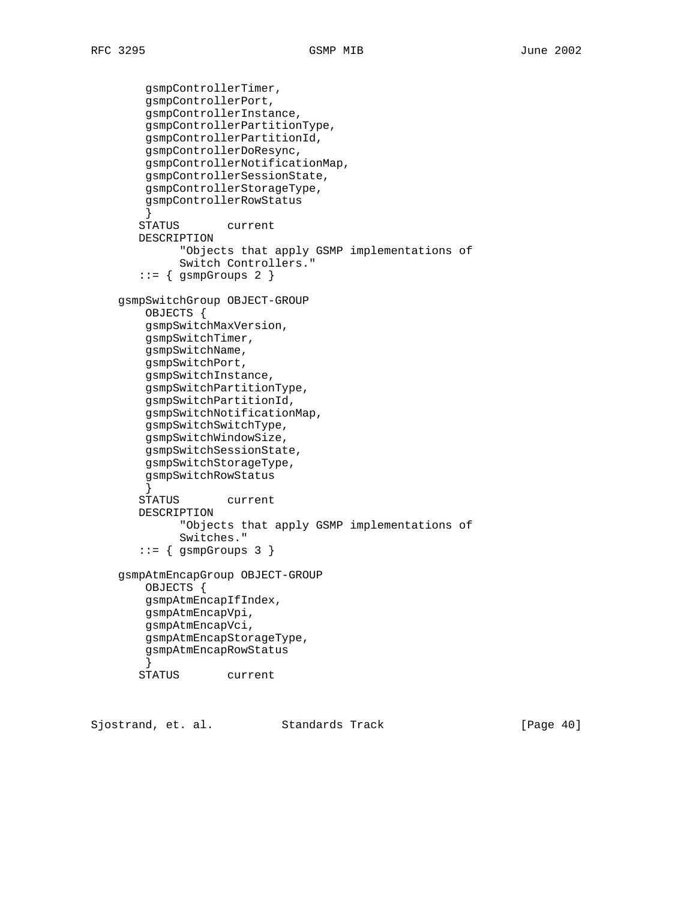```
 gsmpControllerTimer,
         gsmpControllerPort,
         gsmpControllerInstance,
         gsmpControllerPartitionType,
         gsmpControllerPartitionId,
         gsmpControllerDoResync,
         gsmpControllerNotificationMap,
         gsmpControllerSessionState,
         gsmpControllerStorageType,
         gsmpControllerRowStatus
 }
        STATUS current
       DESCRIPTION
              "Objects that apply GSMP implementations of
              Switch Controllers."
       ::= { gsmpGroups 2 }
    gsmpSwitchGroup OBJECT-GROUP
        OBJECTS {
         gsmpSwitchMaxVersion,
         gsmpSwitchTimer,
         gsmpSwitchName,
        gsmpSwitchPort,
        gsmpSwitchInstance,
         gsmpSwitchPartitionType,
         gsmpSwitchPartitionId,
         gsmpSwitchNotificationMap,
         gsmpSwitchSwitchType,
         gsmpSwitchWindowSize,
         gsmpSwitchSessionState,
         gsmpSwitchStorageType,
         gsmpSwitchRowStatus
         }
        STATUS current
       DESCRIPTION
              "Objects that apply GSMP implementations of
              Switches."
       ::= { gsmpGroups 3 }
    gsmpAtmEncapGroup OBJECT-GROUP
         OBJECTS {
         gsmpAtmEncapIfIndex,
         gsmpAtmEncapVpi,
         gsmpAtmEncapVci,
         gsmpAtmEncapStorageType,
         gsmpAtmEncapRowStatus
 }
        STATUS current
```
Sjostrand, et. al. Standards Track [Page 40]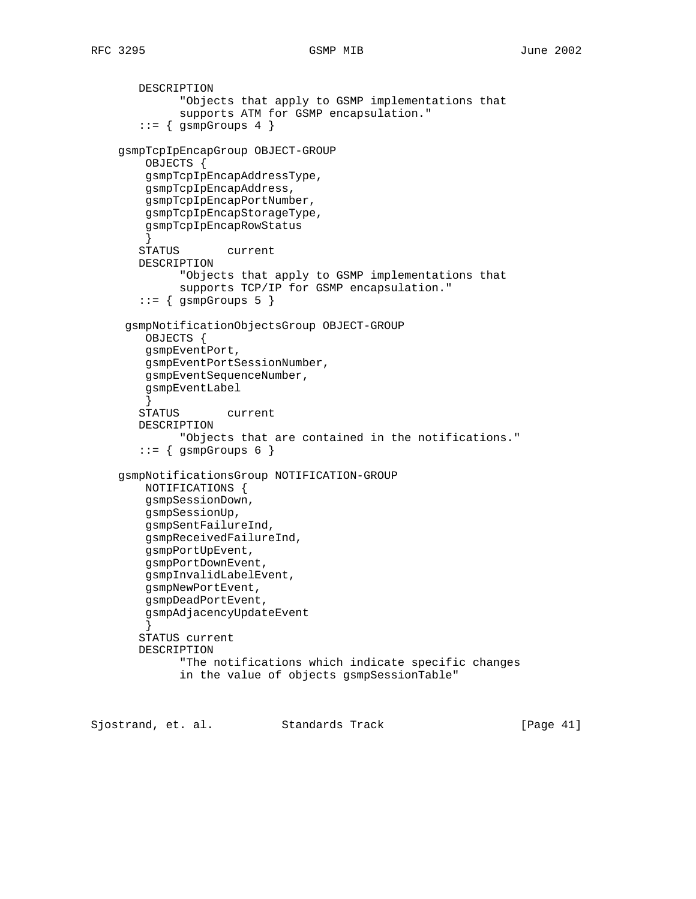```
 DESCRIPTION
              "Objects that apply to GSMP implementations that
              supports ATM for GSMP encapsulation."
       ::= { gsmpGroups 4 }
    gsmpTcpIpEncapGroup OBJECT-GROUP
        OBJECTS {
        gsmpTcpIpEncapAddressType,
        gsmpTcpIpEncapAddress,
        gsmpTcpIpEncapPortNumber,
        gsmpTcpIpEncapStorageType,
        gsmpTcpIpEncapRowStatus
 }
        STATUS current
       DESCRIPTION
              "Objects that apply to GSMP implementations that
              supports TCP/IP for GSMP encapsulation."
       ::= { gsmpGroups 5 }
     gsmpNotificationObjectsGroup OBJECT-GROUP
        OBJECTS {
        gsmpEventPort,
        gsmpEventPortSessionNumber,
        gsmpEventSequenceNumber,
        gsmpEventLabel
 }
        STATUS current
       DESCRIPTION
              "Objects that are contained in the notifications."
       ::= { gsmpGroups 6 }
    gsmpNotificationsGroup NOTIFICATION-GROUP
        NOTIFICATIONS {
        gsmpSessionDown,
        gsmpSessionUp,
        gsmpSentFailureInd,
        gsmpReceivedFailureInd,
         gsmpPortUpEvent,
        gsmpPortDownEvent,
        gsmpInvalidLabelEvent,
        gsmpNewPortEvent,
        gsmpDeadPortEvent,
        gsmpAdjacencyUpdateEvent
 }
        STATUS current
        DESCRIPTION
              "The notifications which indicate specific changes
              in the value of objects gsmpSessionTable"
```
Sjostrand, et. al. Standards Track [Page 41]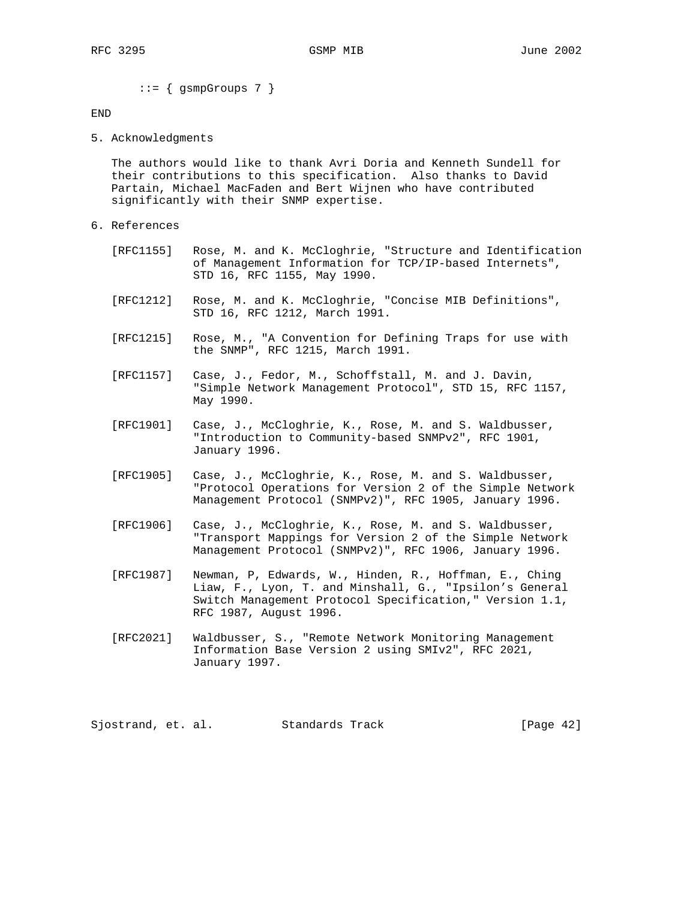$::=$  { gsmpGroups 7 }

# END

5. Acknowledgments

 The authors would like to thank Avri Doria and Kenneth Sundell for their contributions to this specification. Also thanks to David Partain, Michael MacFaden and Bert Wijnen who have contributed significantly with their SNMP expertise.

- 6. References
	- [RFC1155] Rose, M. and K. McCloghrie, "Structure and Identification of Management Information for TCP/IP-based Internets", STD 16, RFC 1155, May 1990.
	- [RFC1212] Rose, M. and K. McCloghrie, "Concise MIB Definitions", STD 16, RFC 1212, March 1991.
	- [RFC1215] Rose, M., "A Convention for Defining Traps for use with the SNMP", RFC 1215, March 1991.
	- [RFC1157] Case, J., Fedor, M., Schoffstall, M. and J. Davin, "Simple Network Management Protocol", STD 15, RFC 1157, May 1990.
	- [RFC1901] Case, J., McCloghrie, K., Rose, M. and S. Waldbusser, "Introduction to Community-based SNMPv2", RFC 1901, January 1996.
	- [RFC1905] Case, J., McCloghrie, K., Rose, M. and S. Waldbusser, "Protocol Operations for Version 2 of the Simple Network Management Protocol (SNMPv2)", RFC 1905, January 1996.
	- [RFC1906] Case, J., McCloghrie, K., Rose, M. and S. Waldbusser, "Transport Mappings for Version 2 of the Simple Network Management Protocol (SNMPv2)", RFC 1906, January 1996.
	- [RFC1987] Newman, P, Edwards, W., Hinden, R., Hoffman, E., Ching Liaw, F., Lyon, T. and Minshall, G., "Ipsilon's General Switch Management Protocol Specification," Version 1.1, RFC 1987, August 1996.
	- [RFC2021] Waldbusser, S., "Remote Network Monitoring Management Information Base Version 2 using SMIv2", RFC 2021, January 1997.

Sjostrand, et. al. Standards Track [Page 42]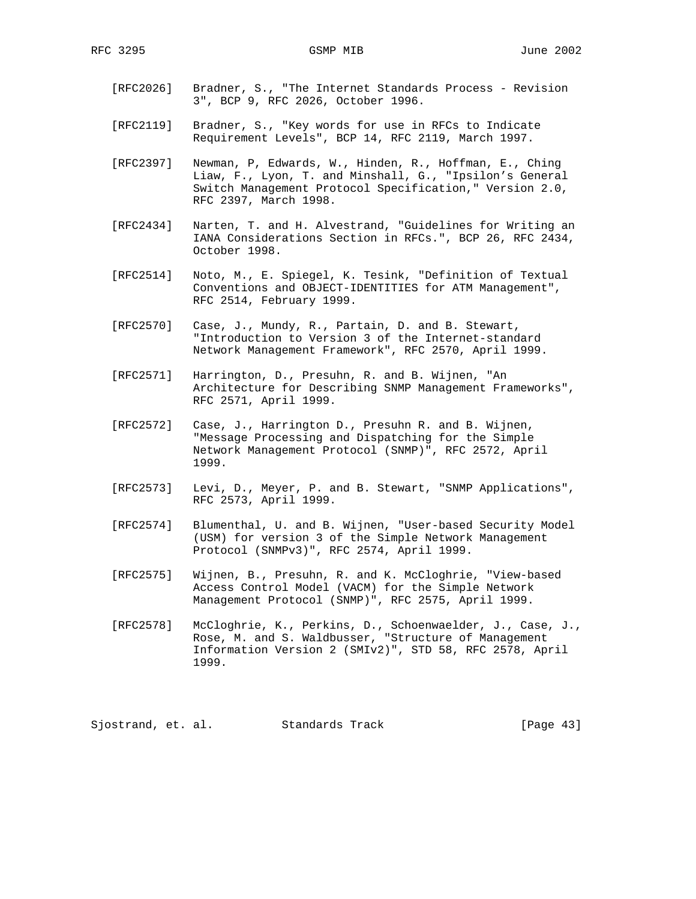- [RFC2026] Bradner, S., "The Internet Standards Process Revision 3", BCP 9, RFC 2026, October 1996.
- [RFC2119] Bradner, S., "Key words for use in RFCs to Indicate Requirement Levels", BCP 14, RFC 2119, March 1997.
- [RFC2397] Newman, P, Edwards, W., Hinden, R., Hoffman, E., Ching Liaw, F., Lyon, T. and Minshall, G., "Ipsilon's General Switch Management Protocol Specification," Version 2.0, RFC 2397, March 1998.
- [RFC2434] Narten, T. and H. Alvestrand, "Guidelines for Writing an IANA Considerations Section in RFCs.", BCP 26, RFC 2434, October 1998.
- [RFC2514] Noto, M., E. Spiegel, K. Tesink, "Definition of Textual Conventions and OBJECT-IDENTITIES for ATM Management", RFC 2514, February 1999.
- [RFC2570] Case, J., Mundy, R., Partain, D. and B. Stewart, "Introduction to Version 3 of the Internet-standard Network Management Framework", RFC 2570, April 1999.
- [RFC2571] Harrington, D., Presuhn, R. and B. Wijnen, "An Architecture for Describing SNMP Management Frameworks", RFC 2571, April 1999.
- [RFC2572] Case, J., Harrington D., Presuhn R. and B. Wijnen, "Message Processing and Dispatching for the Simple Network Management Protocol (SNMP)", RFC 2572, April 1999.
- [RFC2573] Levi, D., Meyer, P. and B. Stewart, "SNMP Applications", RFC 2573, April 1999.
- [RFC2574] Blumenthal, U. and B. Wijnen, "User-based Security Model (USM) for version 3 of the Simple Network Management Protocol (SNMPv3)", RFC 2574, April 1999.
- [RFC2575] Wijnen, B., Presuhn, R. and K. McCloghrie, "View-based Access Control Model (VACM) for the Simple Network Management Protocol (SNMP)", RFC 2575, April 1999.
- [RFC2578] McCloghrie, K., Perkins, D., Schoenwaelder, J., Case, J., Rose, M. and S. Waldbusser, "Structure of Management Information Version 2 (SMIv2)", STD 58, RFC 2578, April 1999.

Sjostrand, et. al. Standards Track [Page 43]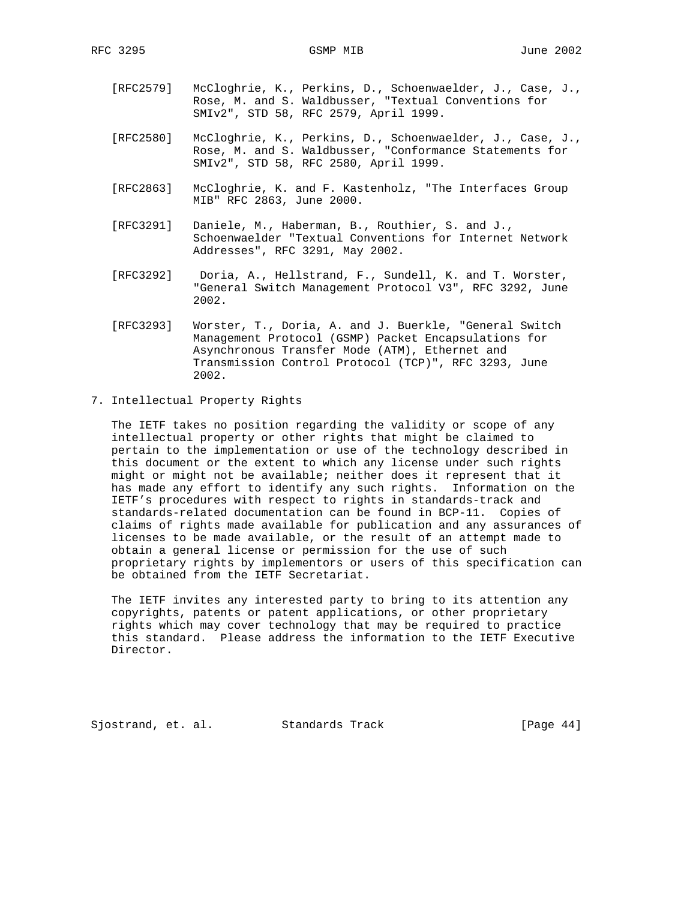- [RFC2579] McCloghrie, K., Perkins, D., Schoenwaelder, J., Case, J., Rose, M. and S. Waldbusser, "Textual Conventions for SMIv2", STD 58, RFC 2579, April 1999.
- [RFC2580] McCloghrie, K., Perkins, D., Schoenwaelder, J., Case, J., Rose, M. and S. Waldbusser, "Conformance Statements for SMIv2", STD 58, RFC 2580, April 1999.
	- [RFC2863] McCloghrie, K. and F. Kastenholz, "The Interfaces Group MIB" RFC 2863, June 2000.
	- [RFC3291] Daniele, M., Haberman, B., Routhier, S. and J., Schoenwaelder "Textual Conventions for Internet Network Addresses", RFC 3291, May 2002.
	- [RFC3292] Doria, A., Hellstrand, F., Sundell, K. and T. Worster, "General Switch Management Protocol V3", RFC 3292, June 2002.
	- [RFC3293] Worster, T., Doria, A. and J. Buerkle, "General Switch Management Protocol (GSMP) Packet Encapsulations for Asynchronous Transfer Mode (ATM), Ethernet and Transmission Control Protocol (TCP)", RFC 3293, June 2002.
- 7. Intellectual Property Rights

 The IETF takes no position regarding the validity or scope of any intellectual property or other rights that might be claimed to pertain to the implementation or use of the technology described in this document or the extent to which any license under such rights might or might not be available; neither does it represent that it has made any effort to identify any such rights. Information on the IETF's procedures with respect to rights in standards-track and standards-related documentation can be found in BCP-11. Copies of claims of rights made available for publication and any assurances of licenses to be made available, or the result of an attempt made to obtain a general license or permission for the use of such proprietary rights by implementors or users of this specification can be obtained from the IETF Secretariat.

 The IETF invites any interested party to bring to its attention any copyrights, patents or patent applications, or other proprietary rights which may cover technology that may be required to practice this standard. Please address the information to the IETF Executive Director.

Sjostrand, et. al. Standards Track [Page 44]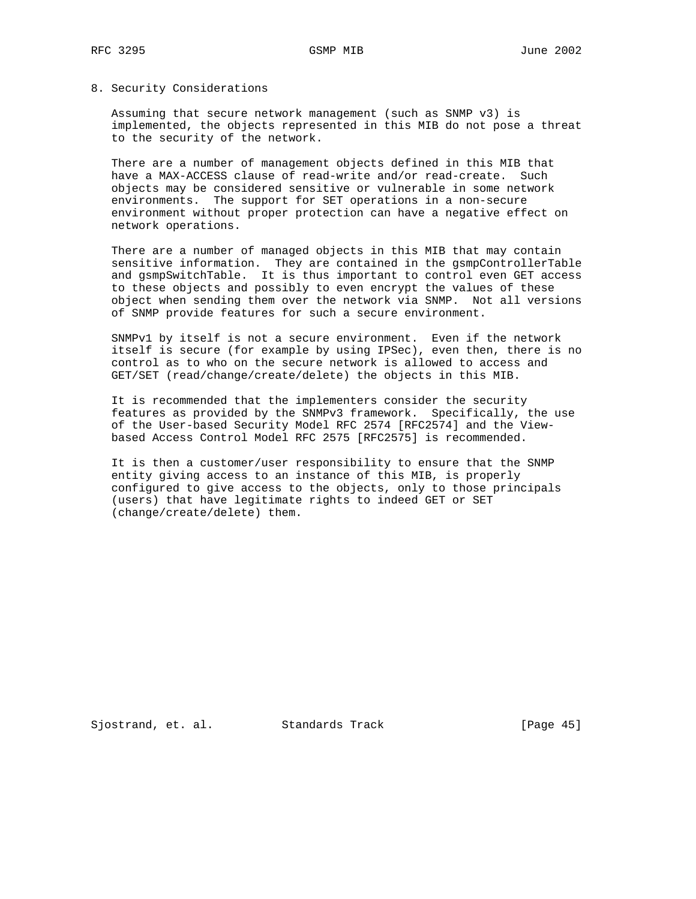# 8. Security Considerations

 Assuming that secure network management (such as SNMP v3) is implemented, the objects represented in this MIB do not pose a threat to the security of the network.

 There are a number of management objects defined in this MIB that have a MAX-ACCESS clause of read-write and/or read-create. Such objects may be considered sensitive or vulnerable in some network environments. The support for SET operations in a non-secure environment without proper protection can have a negative effect on network operations.

 There are a number of managed objects in this MIB that may contain sensitive information. They are contained in the gsmpControllerTable and gsmpSwitchTable. It is thus important to control even GET access to these objects and possibly to even encrypt the values of these object when sending them over the network via SNMP. Not all versions of SNMP provide features for such a secure environment.

 SNMPv1 by itself is not a secure environment. Even if the network itself is secure (for example by using IPSec), even then, there is no control as to who on the secure network is allowed to access and GET/SET (read/change/create/delete) the objects in this MIB.

 It is recommended that the implementers consider the security features as provided by the SNMPv3 framework. Specifically, the use of the User-based Security Model RFC 2574 [RFC2574] and the View based Access Control Model RFC 2575 [RFC2575] is recommended.

 It is then a customer/user responsibility to ensure that the SNMP entity giving access to an instance of this MIB, is properly configured to give access to the objects, only to those principals (users) that have legitimate rights to indeed GET or SET (change/create/delete) them.

Sjostrand, et. al. Standards Track [Page 45]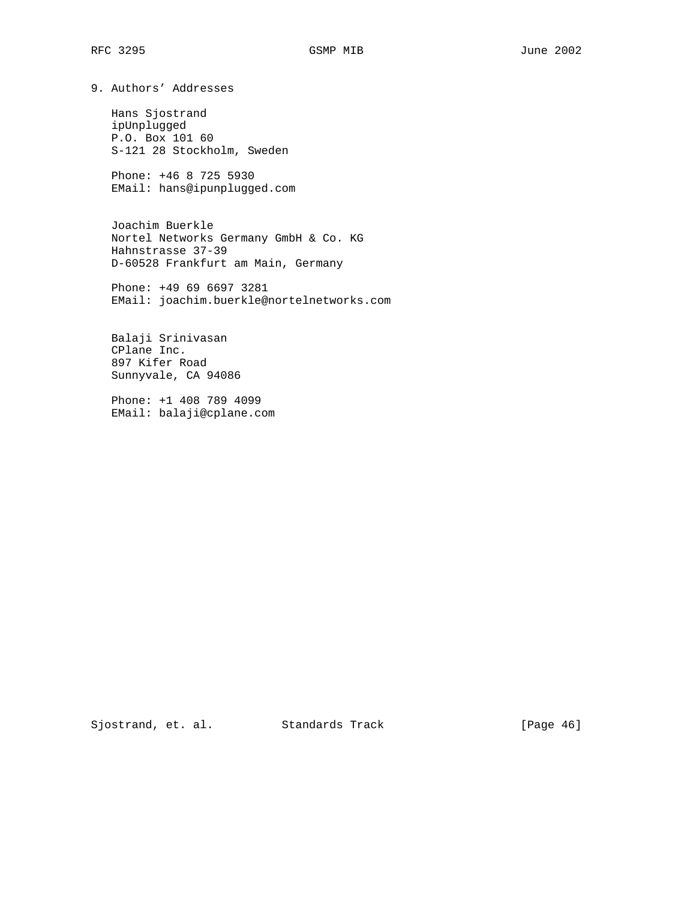9. Authors' Addresses

 Hans Sjostrand ipUnplugged P.O. Box 101 60 S-121 28 Stockholm, Sweden

 Phone: +46 8 725 5930 EMail: hans@ipunplugged.com

 Joachim Buerkle Nortel Networks Germany GmbH & Co. KG Hahnstrasse 37-39 D-60528 Frankfurt am Main, Germany

 Phone: +49 69 6697 3281 EMail: joachim.buerkle@nortelnetworks.com

 Balaji Srinivasan CPlane Inc. 897 Kifer Road Sunnyvale, CA 94086

 Phone: +1 408 789 4099 EMail: balaji@cplane.com

Sjostrand, et. al. Standards Track [Page 46]